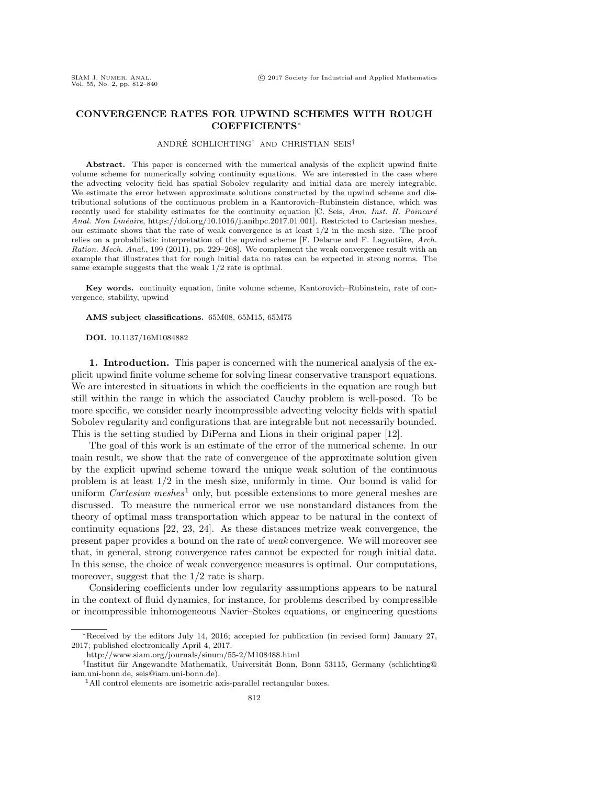# CONVERGENCE RATES FOR UPWIND SCHEMES WITH ROUGH COEFFICIENTS<sup>∗</sup>

### ANDRÉ SCHLICHTING<sup>†</sup> AND CHRISTIAN SEIS<sup>†</sup>

Abstract. This paper is concerned with the numerical analysis of the explicit upwind finite volume scheme for numerically solving continuity equations. We are interested in the case where the advecting velocity field has spatial Sobolev regularity and initial data are merely integrable. We estimate the error between approximate solutions constructed by the upwind scheme and distributional solutions of the continuous problem in a Kantorovich–Rubinstein distance, which was recently used for stability estimates for the continuity equation [C. Seis, Ann. Inst. H. Poincaré Anal. Non Linéaire, https://doi.org/10.1016/j.anihpc.2017.01.001]. Restricted to Cartesian meshes, our estimate shows that the rate of weak convergence is at least 1/2 in the mesh size. The proof relies on a probabilistic interpretation of the upwind scheme  $[F.$  Delarue and  $F.$  Lagoutière, Arch. Ration. Mech. Anal., 199 (2011), pp. 229–268]. We complement the weak convergence result with an example that illustrates that for rough initial data no rates can be expected in strong norms. The same example suggests that the weak 1/2 rate is optimal.

Key words. continuity equation, finite volume scheme, Kantorovich–Rubinstein, rate of convergence, stability, upwind

AMS subject classifications. 65M08, 65M15, 65M75

DOI. 10.1137/16M1084882

1. Introduction. This paper is concerned with the numerical analysis of the explicit upwind finite volume scheme for solving linear conservative transport equations. We are interested in situations in which the coefficients in the equation are rough but still within the range in which the associated Cauchy problem is well-posed. To be more specific, we consider nearly incompressible advecting velocity fields with spatial Sobolev regularity and configurations that are integrable but not necessarily bounded. This is the setting studied by DiPerna and Lions in their original paper [\[12\]](#page-28-0).

The goal of this work is an estimate of the error of the numerical scheme. In our main result, we show that the rate of convergence of the approximate solution given by the explicit upwind scheme toward the unique weak solution of the continuous problem is at least 1/2 in the mesh size, uniformly in time. Our bound is valid for uniform *Cartesian meshes*<sup>[1](#page-0-0)</sup> only, but possible extensions to more general meshes are discussed. To measure the numerical error we use nonstandard distances from the theory of optimal mass transportation which appear to be natural in the context of continuity equations [\[22,](#page-28-1) [23,](#page-28-2) [24\]](#page-28-3). As these distances metrize weak convergence, the present paper provides a bound on the rate of weak convergence. We will moreover see that, in general, strong convergence rates cannot be expected for rough initial data. In this sense, the choice of weak convergence measures is optimal. Our computations, moreover, suggest that the  $1/2$  rate is sharp.

Considering coefficients under low regularity assumptions appears to be natural in the context of fluid dynamics, for instance, for problems described by compressible or incompressible inhomogeneous Navier–Stokes equations, or engineering questions

<sup>∗</sup>Received by the editors July 14, 2016; accepted for publication (in revised form) January 27, 2017; published electronically April 4, 2017.

<http://www.siam.org/journals/sinum/55-2/M108488.html>

<sup>&</sup>lt;sup>†</sup>Institut für Angewandte Mathematik, Universität Bonn, Bonn 53115, Germany [\(schlichting@](mailto:schlichting@iam.uni-bonn.de) [iam.uni-bonn.de,](mailto:schlichting@iam.uni-bonn.de) [seis@iam.uni-bonn.de\)](mailto:seis@iam.uni-bonn.de).

<span id="page-0-0"></span><sup>&</sup>lt;sup>1</sup>All control elements are isometric axis-parallel rectangular boxes.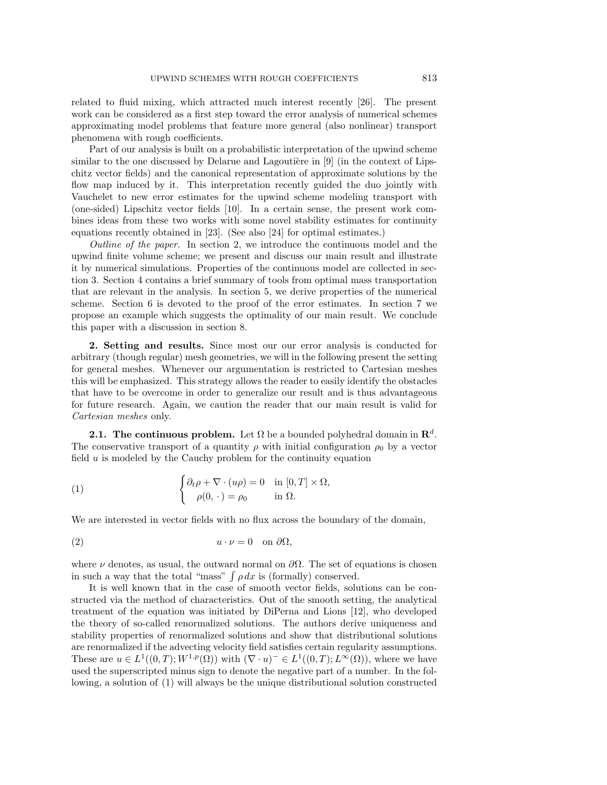related to fluid mixing, which attracted much interest recently [\[26\]](#page-28-4). The present work can be considered as a first step toward the error analysis of numerical schemes approximating model problems that feature more general (also nonlinear) transport phenomena with rough coefficients.

Part of our analysis is built on a probabilistic interpretation of the upwind scheme similar to the one discussed by Delarue and Lagoutière in  $[9]$  (in the context of Lipschitz vector fields) and the canonical representation of approximate solutions by the flow map induced by it. This interpretation recently guided the duo jointly with Vauchelet to new error estimates for the upwind scheme modeling transport with (one-sided) Lipschitz vector fields [\[10\]](#page-28-6). In a certain sense, the present work combines ideas from these two works with some novel stability estimates for continuity equations recently obtained in [\[23\]](#page-28-2). (See also [\[24\]](#page-28-3) for optimal estimates.)

Outline of the paper. In section [2,](#page-1-0) we introduce the continuous model and the upwind finite volume scheme; we present and discuss our main result and illustrate it by numerical simulations. Properties of the continuous model are collected in section [3.](#page-8-0) Section [4](#page-9-0) contains a brief summary of tools from optimal mass transportation that are relevant in the analysis. In section [5,](#page-11-0) we derive properties of the numerical scheme. Section [6](#page-18-0) is devoted to the proof of the error estimates. In section [7](#page-24-0) we propose an example which suggests the optimality of our main result. We conclude this paper with a discussion in section [8.](#page-27-0)

<span id="page-1-0"></span>2. Setting and results. Since most our our error analysis is conducted for arbitrary (though regular) mesh geometries, we will in the following present the setting for general meshes. Whenever our argumentation is restricted to Cartesian meshes this will be emphasized. This strategy allows the reader to easily identify the obstacles that have to be overcome in order to generalize our result and is thus advantageous for future research. Again, we caution the reader that our main result is valid for Cartesian meshes only.

**2.1.** The continuous problem. Let  $\Omega$  be a bounded polyhedral domain in  $\mathbb{R}^d$ . The conservative transport of a quantity  $\rho$  with initial configuration  $\rho_0$  by a vector field  $u$  is modeled by the Cauchy problem for the continuity equation

<span id="page-1-1"></span>(1) 
$$
\begin{cases} \partial_t \rho + \nabla \cdot (u\rho) = 0 & \text{in } [0, T] \times \Omega, \\ \rho(0, \cdot) = \rho_0 & \text{in } \Omega. \end{cases}
$$

We are interested in vector fields with no flux across the boundary of the domain,

<span id="page-1-2"></span>
$$
(2) \t\t\t u \cdot \nu = 0 \t on \partial \Omega,
$$

where  $\nu$  denotes, as usual, the outward normal on  $\partial\Omega$ . The set of equations is chosen in such a way that the total "mass"  $\int \rho dx$  is (formally) conserved.

It is well known that in the case of smooth vector fields, solutions can be constructed via the method of characteristics. Out of the smooth setting, the analytical treatment of the equation was initiated by DiPerna and Lions [\[12\]](#page-28-0), who developed the theory of so-called renormalized solutions. The authors derive uniqueness and stability properties of renormalized solutions and show that distributional solutions are renormalized if the advecting velocity field satisfies certain regularity assumptions. These are  $u \in L^1((0,T);W^{1,p}(\Omega))$  with  $(\nabla \cdot u)^-\in L^1((0,T);L^{\infty}(\Omega))$ , where we have used the superscripted minus sign to denote the negative part of a number. In the following, a solution of [\(1\)](#page-1-1) will always be the unique distributional solution constructed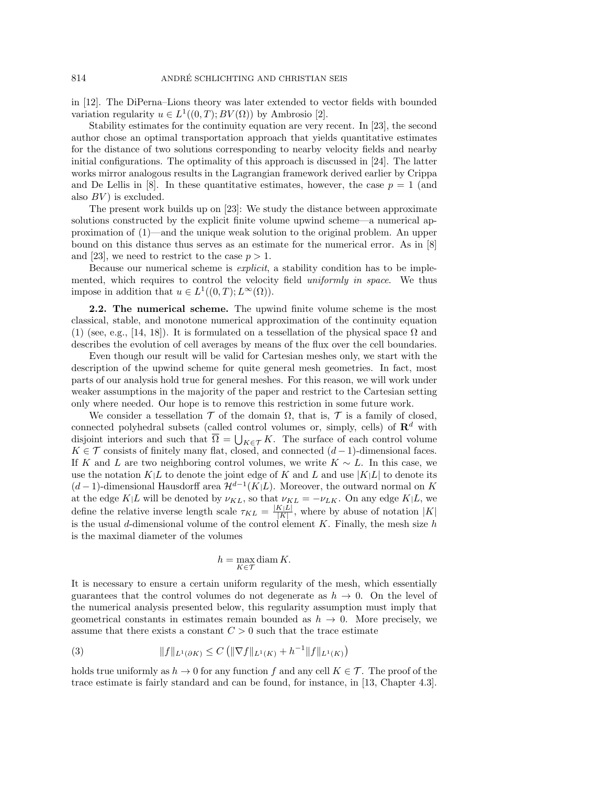in [\[12\]](#page-28-0). The DiPerna–Lions theory was later extended to vector fields with bounded variation regularity  $u \in L^1((0,T);BV(\Omega))$  by Ambrosio [\[2\]](#page-27-1).

Stability estimates for the continuity equation are very recent. In [\[23\]](#page-28-2), the second author chose an optimal transportation approach that yields quantitative estimates for the distance of two solutions corresponding to nearby velocity fields and nearby initial configurations. The optimality of this approach is discussed in [\[24\]](#page-28-3). The latter works mirror analogous results in the Lagrangian framework derived earlier by Crippa and De Lellis in [\[8\]](#page-27-2). In these quantitative estimates, however, the case  $p = 1$  (and also  $BV$ ) is excluded.

The present work builds up on [\[23\]](#page-28-2): We study the distance between approximate solutions constructed by the explicit finite volume upwind scheme—a numerical approximation of [\(1\)](#page-1-1)—and the unique weak solution to the original problem. An upper bound on this distance thus serves as an estimate for the numerical error. As in [\[8\]](#page-27-2) and [\[23\]](#page-28-2), we need to restrict to the case  $p > 1$ .

Because our numerical scheme is explicit, a stability condition has to be implemented, which requires to control the velocity field *uniformly in space*. We thus impose in addition that  $u \in L^1((0,T); L^{\infty}(\Omega)).$ 

2.2. The numerical scheme. The upwind finite volume scheme is the most classical, stable, and monotone numerical approximation of the continuity equation [\(1\)](#page-1-1) (see, e.g., [\[14,](#page-28-7) [18\]](#page-28-8)). It is formulated on a tessellation of the physical space  $\Omega$  and describes the evolution of cell averages by means of the flux over the cell boundaries.

Even though our result will be valid for Cartesian meshes only, we start with the description of the upwind scheme for quite general mesh geometries. In fact, most parts of our analysis hold true for general meshes. For this reason, we will work under weaker assumptions in the majority of the paper and restrict to the Cartesian setting only where needed. Our hope is to remove this restriction in some future work.

We consider a tessellation  $\mathcal T$  of the domain  $\Omega$ , that is,  $\mathcal T$  is a family of closed, connected polyhedral subsets (called control volumes or, simply, cells) of  $\mathbb{R}^d$  with disjoint interiors and such that  $\overline{\Omega} = \bigcup_{K \in \mathcal{T}} K$ . The surface of each control volume K ∈  $\mathcal T$  consists of finitely many flat, closed, and connected  $(d-1)$ -dimensional faces. If K and L are two neighboring control volumes, we write  $K \sim L$ . In this case, we use the notation  $K|L$  to denote the joint edge of K and L and use  $|K|L|$  to denote its  $(d-1)$ -dimensional Hausdorff area  $\mathcal{H}^{d-1}(K|L)$ . Moreover, the outward normal on K at the edge K|L will be denoted by  $\nu_{KL}$ , so that  $\nu_{KL} = -\nu_{LK}$ . On any edge K|L, we define the relative inverse length scale  $\tau_{KL} = \frac{|K|L|}{|K|}$  $\frac{K|L|}{|K|}$ , where by abuse of notation  $|K|$ is the usual d-dimensional volume of the control element  $K$ . Finally, the mesh size h is the maximal diameter of the volumes

$$
h = \max_{K \in \mathcal{T}} \operatorname{diam} K.
$$

It is necessary to ensure a certain uniform regularity of the mesh, which essentially guarantees that the control volumes do not degenerate as  $h \to 0$ . On the level of the numerical analysis presented below, this regularity assumption must imply that geometrical constants in estimates remain bounded as  $h \to 0$ . More precisely, we assume that there exists a constant  $C > 0$  such that the trace estimate

<span id="page-2-0"></span>(3) 
$$
||f||_{L^{1}(\partial K)} \leq C \left( \|\nabla f\|_{L^{1}(K)} + h^{-1} ||f||_{L^{1}(K)} \right)
$$

holds true uniformly as  $h \to 0$  for any function f and any cell  $K \in \mathcal{T}$ . The proof of the trace estimate is fairly standard and can be found, for instance, in [\[13,](#page-28-9) Chapter 4.3].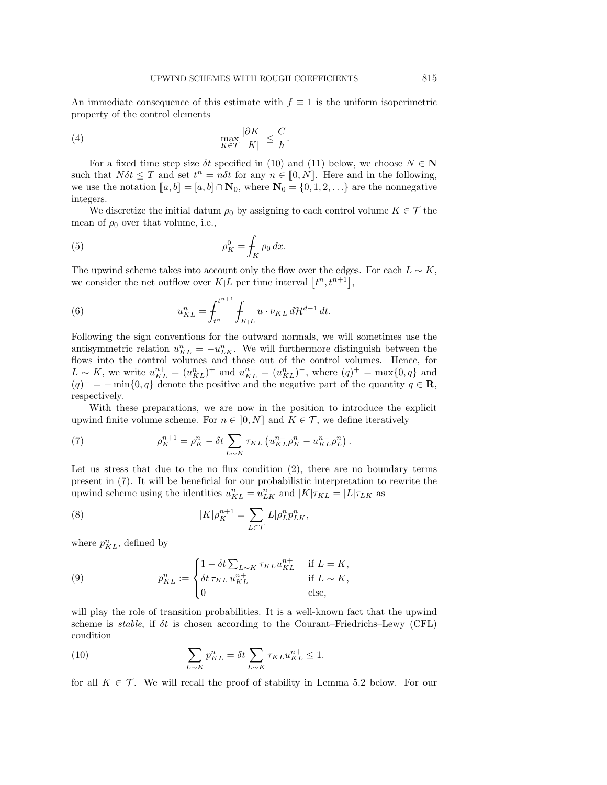An immediate consequence of this estimate with  $f \equiv 1$  is the uniform isoperimetric property of the control elements

<span id="page-3-2"></span>(4) 
$$
\max_{K \in \mathcal{T}} \frac{|\partial K|}{|K|} \leq \frac{C}{h}.
$$

For a fixed time step size  $\delta t$  specified in [\(10\)](#page-3-0) and [\(11\)](#page-4-0) below, we choose  $N \in \mathbb{N}$ such that  $N\delta t \leq T$  and set  $t^n = n\delta t$  for any  $n \in [0, N]$ . Here and in the following, we use the notation  $[a, b] = [a, b] \cap \mathbb{N}_0$ , where  $\mathbb{N}_0 = \{0, 1, 2, \ldots\}$  are the nonnegative integers.

We discretize the initial datum  $\rho_0$  by assigning to each control volume  $K \in \mathcal{T}$  the mean of  $\rho_0$  over that volume, i.e.,

<span id="page-3-3"></span>(5) 
$$
\rho_K^0 = \int_K \rho_0 dx.
$$

The upwind scheme takes into account only the flow over the edges. For each  $L \sim K$ , we consider the net outflow over  $K|L$  per time interval  $[t^n, t^{n+1}],$ 

<span id="page-3-4"></span>(6) 
$$
u_{KL}^n = \int_{t^n}^{t^{n+1}} \int_{K|L} u \cdot \nu_{KL} d\mathcal{H}^{d-1} dt.
$$

Following the sign conventions for the outward normals, we will sometimes use the antisymmetric relation  $u_{KL}^n = -u_{LK}^n$ . We will furthermore distinguish between the flows into the control volumes and those out of the control volumes. Hence, for  $L \sim K$ , we write  $u_{KL}^{n+} = (u_{KL}^n)^+$  and  $u_{KL}^{n-} = (u_{KL}^n)^-$ , where  $(q)^+ = \max\{0, q\}$  and  $(q)^{-} = -\min\{0, q\}$  denote the positive and the negative part of the quantity  $q \in \mathbb{R}$ , respectively.

With these preparations, we are now in the position to introduce the explicit upwind finite volume scheme. For  $n \in [0, N]$  and  $K \in \mathcal{T}$ , we define iteratively

<span id="page-3-1"></span>(7) 
$$
\rho_K^{n+1} = \rho_K^n - \delta t \sum_{L \sim K} \tau_{KL} \left( u_{KL}^{n+} \rho_K^n - u_{KL}^{n-} \rho_L^n \right).
$$

Let us stress that due to the no flux condition [\(2\)](#page-1-2), there are no boundary terms present in [\(7\)](#page-3-1). It will be beneficial for our probabilistic interpretation to rewrite the upwind scheme using the identities  $u_{KL}^{n-} = u_{LK}^{n+}$  and  $|K|\tau_{KL} = |L|\tau_{LK}$  as

<span id="page-3-5"></span>(8) 
$$
|K|\rho_K^{n+1} = \sum_{L \in \mathcal{T}} |L|\rho_L^n p_{LK}^n,
$$

where  $p_{KL}^n$ , defined by

<span id="page-3-6"></span>(9) 
$$
p_{KL}^n := \begin{cases} 1 - \delta t \sum_{L \sim K} \tau_{KL} u_{KL}^{n+} & \text{if } L = K, \\ \delta t \tau_{KL} u_{KL}^{n+} & \text{if } L \sim K, \\ 0 & \text{else,} \end{cases}
$$

will play the role of transition probabilities. It is a well-known fact that the upwind scheme is *stable*, if  $\delta t$  is chosen according to the Courant–Friedrichs–Lewy (CFL) condition

<span id="page-3-0"></span>(10) 
$$
\sum_{L \sim K} p_{KL}^n = \delta t \sum_{L \sim K} \tau_{KL} u_{KL}^{n+} \le 1.
$$

for all  $K \in \mathcal{T}$ . We will recall the proof of stability in Lemma [5.2](#page-12-0) below. For our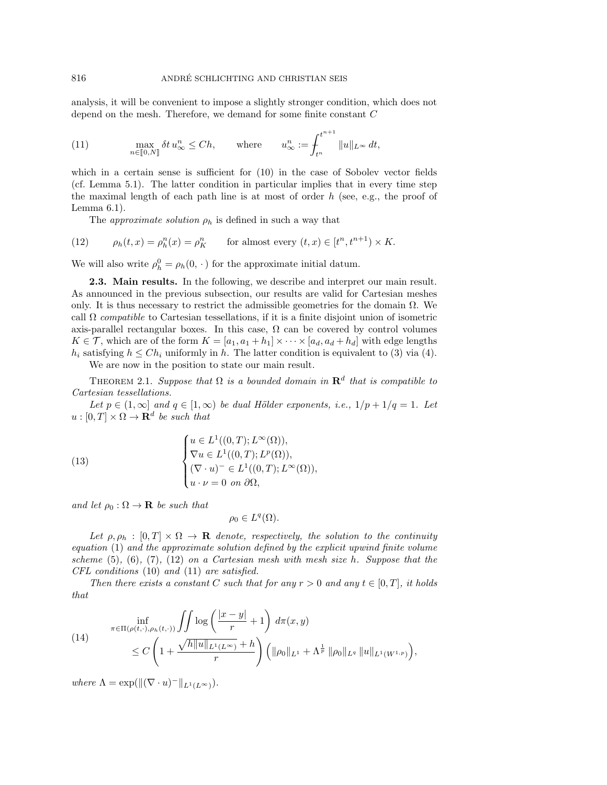analysis, it will be convenient to impose a slightly stronger condition, which does not depend on the mesh. Therefore, we demand for some finite constant C

<span id="page-4-0"></span>(11) 
$$
\max_{n \in [0,N]} \delta t u_{\infty}^n \leq Ch, \quad \text{where} \quad u_{\infty}^n := \int_{t^n}^{t^{n+1}} \|u\|_{L^{\infty}} dt,
$$

which in a certain sense is sufficient for  $(10)$  in the case of Sobolev vector fields (cf. Lemma [5.1\)](#page-11-1). The latter condition in particular implies that in every time step the maximal length of each path line is at most of order  $h$  (see, e.g., the proof of Lemma [6.1\)](#page-19-0).

<span id="page-4-1"></span>The *approximate solution*  $\rho_h$  is defined in such a way that

(12)  $\rho_h(t, x) = \rho_h^n(x) = \rho_K^n$  for almost every  $(t, x) \in [t^n, t^{n+1}) \times K$ .

We will also write  $\rho_h^0 = \rho_h(0, \cdot)$  for the approximate initial datum.

2.3. Main results. In the following, we describe and interpret our main result. As announced in the previous subsection, our results are valid for Cartesian meshes only. It is thus necessary to restrict the admissible geometries for the domain  $\Omega$ . We call  $\Omega$  compatible to Cartesian tessellations, if it is a finite disjoint union of isometric axis-parallel rectangular boxes. In this case,  $\Omega$  can be covered by control volumes  $K \in \mathcal{T}$ , which are of the form  $K = [a_1, a_1 + h_1] \times \cdots \times [a_d, a_d + h_d]$  with edge lengths  $h_i$  satisfying  $h \leq Ch_i$  uniformly in h. The latter condition is equivalent to [\(3\)](#page-2-0) via [\(4\)](#page-3-2).

We are now in the position to state our main result.

<span id="page-4-3"></span>THEOREM 2.1. Suppose that  $\Omega$  is a bounded domain in  $\mathbf{R}^d$  that is compatible to Cartesian tessellations.

Let  $p \in (1,\infty]$  and  $q \in [1,\infty)$  be dual Hölder exponents, i.e.,  $1/p + 1/q = 1$ . Let  $u:[0,T]\times\Omega\to\mathbf{R}^d$  be such that

(13)  

$$
\begin{cases}\nu \in L^1((0,T); L^{\infty}(\Omega)),\\ \nabla u \in L^1((0,T); L^p(\Omega)),\\ (\nabla \cdot u)^- \in L^1((0,T); L^{\infty}(\Omega)),\\ u \cdot \nu = 0 \text{ on } \partial\Omega,\end{cases}
$$

and let  $\rho_0 : \Omega \to \mathbf{R}$  be such that

<span id="page-4-4"></span>
$$
\rho_0 \in L^q(\Omega).
$$

Let  $\rho, \rho_h : [0, T] \times \Omega \to \mathbf{R}$  denote, respectively, the solution to the continuity equation [\(1\)](#page-1-1) and the approximate solution defined by the explicit upwind finite volume scheme  $(5)$ ,  $(6)$ ,  $(7)$ ,  $(12)$  on a Cartesian mesh with mesh size h. Suppose that the CFL conditions [\(10\)](#page-3-0) and [\(11\)](#page-4-0) are satisfied.

Then there exists a constant C such that for any  $r > 0$  and any  $t \in [0, T]$ , it holds that

,

<span id="page-4-2"></span>(14) 
$$
\inf_{\pi \in \Pi(\rho(t, \cdot), \rho_h(t, \cdot))} \iint \log \left( \frac{|x - y|}{r} + 1 \right) d\pi(x, y)
$$
  
 
$$
\leq C \left( 1 + \frac{\sqrt{h \|u\|_{L^1(L^\infty)}} + h}{r} \right) \left( \|\rho_0\|_{L^1} + \Lambda^{\frac{1}{p}} \|\rho_0\|_{L^q} \|u\|_{L^1(W^{1, p})} \right)
$$

where  $\Lambda = \exp(||(\nabla \cdot u)^-||_{L^1(L^\infty)}).$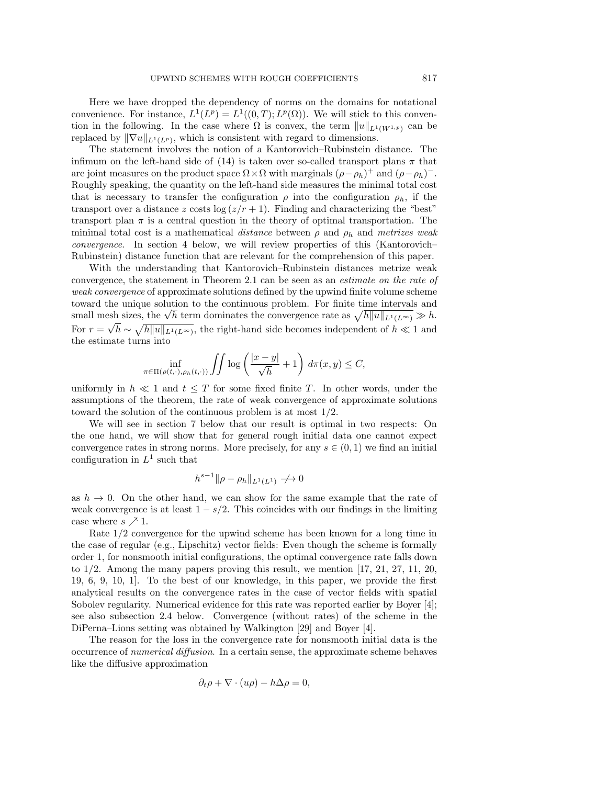Here we have dropped the dependency of norms on the domains for notational convenience. For instance,  $L^1(L^p) = L^1((0,T); L^p(\Omega))$ . We will stick to this convention in the following. In the case where  $\Omega$  is convex, the term  $||u||_{L^1(W^{1,p})}$  can be replaced by  $\|\nabla u\|_{L^1(L^p)}$ , which is consistent with regard to dimensions.

The statement involves the notion of a Kantorovich–Rubinstein distance. The infimum on the left-hand side of [\(14\)](#page-4-2) is taken over so-called transport plans  $\pi$  that are joint measures on the product space  $\Omega \times \Omega$  with marginals  $(\rho - \rho_h)^+$  and  $(\rho - \rho_h)^-$ . Roughly speaking, the quantity on the left-hand side measures the minimal total cost that is necessary to transfer the configuration  $\rho$  into the configuration  $\rho_h$ , if the transport over a distance z costs  $\log(z/r + 1)$ . Finding and characterizing the "best" transport plan  $\pi$  is a central question in the theory of optimal transportation. The minimal total cost is a mathematical distance between  $\rho$  and  $\rho_h$  and metrizes weak convergence. In section [4](#page-9-0) below, we will review properties of this (Kantorovich– Rubinstein) distance function that are relevant for the comprehension of this paper.

With the understanding that Kantorovich–Rubinstein distances metrize weak convergence, the statement in Theorem [2.1](#page-4-3) can be seen as an estimate on the rate of weak convergence of approximate solutions defined by the upwind finite volume scheme toward the unique solution to the continuous problem. For finite time intervals and toward the unique solution to the continuous problem. For finite time intervals and<br>small mesh sizes, the  $\sqrt{h}$  term dominates the convergence rate as  $\sqrt{h||u||_{L^1(L^{\infty})}} \gg h$ . For  $r = \sqrt{h} \sim \sqrt{h||u||_{L^1(L^{\infty})}}$ , the right-hand side becomes independent of  $h \ll 1$  and the estimate turns into

$$
\inf_{\pi \in \Pi(\rho(t,\cdot),\rho_h(t,\cdot))} \iint \log \left( \frac{|x-y|}{\sqrt{h}} + 1 \right) d\pi(x,y) \le C,
$$

uniformly in  $h \ll 1$  and  $t \leq T$  for some fixed finite T. In other words, under the assumptions of the theorem, the rate of weak convergence of approximate solutions toward the solution of the continuous problem is at most 1/2.

We will see in section [7](#page-24-0) below that our result is optimal in two respects: On the one hand, we will show that for general rough initial data one cannot expect convergence rates in strong norms. More precisely, for any  $s \in (0, 1)$  we find an initial configuration in  $L^1$  such that

$$
h^{s-1} \|\rho - \rho_h\|_{L^1(L^1)} \to 0
$$

as  $h \to 0$ . On the other hand, we can show for the same example that the rate of weak convergence is at least  $1 - s/2$ . This coincides with our findings in the limiting case where  $s \nearrow 1$ .

Rate 1/2 convergence for the upwind scheme has been known for a long time in the case of regular (e.g., Lipschitz) vector fields: Even though the scheme is formally order 1, for nonsmooth initial configurations, the optimal convergence rate falls down to  $1/2$ . Among the many papers proving this result, we mention [\[17,](#page-28-10) [21,](#page-28-11) [27,](#page-28-12) [11,](#page-28-13) [20,](#page-28-14) [19,](#page-28-15) [6,](#page-27-3) [9,](#page-28-5) [10,](#page-28-6) [1\]](#page-27-4). To the best of our knowledge, in this paper, we provide the first analytical results on the convergence rates in the case of vector fields with spatial Sobolev regularity. Numerical evidence for this rate was reported earlier by Boyer [\[4\]](#page-27-5); see also subsection [2.4](#page-6-0) below. Convergence (without rates) of the scheme in the DiPerna–Lions setting was obtained by Walkington [\[29\]](#page-28-16) and Boyer [\[4\]](#page-27-5).

The reason for the loss in the convergence rate for nonsmooth initial data is the occurrence of numerical diffusion. In a certain sense, the approximate scheme behaves like the diffusive approximation

$$
\partial_t \rho + \nabla \cdot (u\rho) - h\Delta \rho = 0,
$$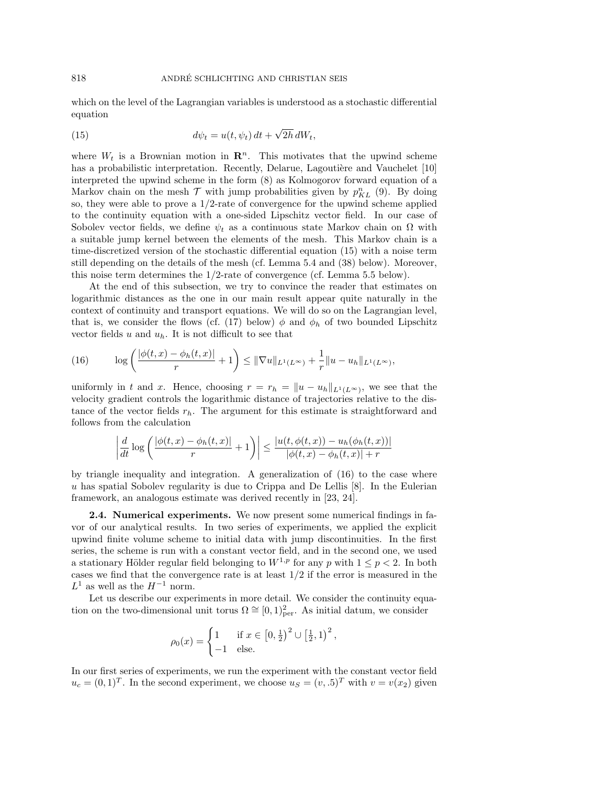which on the level of the Lagrangian variables is understood as a stochastic differential equation

<span id="page-6-1"></span>(15) 
$$
d\psi_t = u(t, \psi_t) dt + \sqrt{2h} dW_t,
$$

where  $W_t$  is a Brownian motion in  $\mathbb{R}^n$ . This motivates that the upwind scheme has a probabilistic interpretation. Recently, Delarue, Lagoutière and Vauchelet  $[10]$ interpreted the upwind scheme in the form [\(8\)](#page-3-5) as Kolmogorov forward equation of a Markov chain on the mesh  $\mathcal T$  with jump probabilities given by  $p_{KL}^n$  [\(9\)](#page-3-6). By doing so, they were able to prove a  $1/2$ -rate of convergence for the upwind scheme applied to the continuity equation with a one-sided Lipschitz vector field. In our case of Sobolev vector fields, we define  $\psi_t$  as a continuous state Markov chain on  $\Omega$  with a suitable jump kernel between the elements of the mesh. This Markov chain is a time-discretized version of the stochastic differential equation [\(15\)](#page-6-1) with a noise term still depending on the details of the mesh (cf. Lemma [5.4](#page-14-0) and [\(38\)](#page-16-0) below). Moreover, this noise term determines the  $1/2$ -rate of convergence (cf. Lemma [5.5](#page-16-1) below).

At the end of this subsection, we try to convince the reader that estimates on logarithmic distances as the one in our main result appear quite naturally in the context of continuity and transport equations. We will do so on the Lagrangian level, that is, we consider the flows (cf. [\(17\)](#page-8-1) below)  $\phi$  and  $\phi_h$  of two bounded Lipschitz vector fields u and  $u_h$ . It is not difficult to see that

<span id="page-6-2"></span>(16) 
$$
\log \left( \frac{|\phi(t,x) - \phi_h(t,x)|}{r} + 1 \right) \leq \|\nabla u\|_{L^1(L^\infty)} + \frac{1}{r} \|u - u_h\|_{L^1(L^\infty)},
$$

uniformly in t and x. Hence, choosing  $r = r_h = ||u - u_h||_{L^1(L^{\infty})}$ , we see that the velocity gradient controls the logarithmic distance of trajectories relative to the distance of the vector fields  $r_h$ . The argument for this estimate is straightforward and follows from the calculation

$$
\left| \frac{d}{dt} \log \left( \frac{|\phi(t,x) - \phi_h(t,x)|}{r} + 1 \right) \right| \leq \frac{|u(t, \phi(t,x)) - u_h(\phi_h(t,x))|}{|\phi(t,x) - \phi_h(t,x)| + r}
$$

by triangle inequality and integration. A generalization of [\(16\)](#page-6-2) to the case where u has spatial Sobolev regularity is due to Crippa and De Lellis [\[8\]](#page-27-2). In the Eulerian framework, an analogous estimate was derived recently in [\[23,](#page-28-2) [24\]](#page-28-3).

<span id="page-6-0"></span>2.4. Numerical experiments. We now present some numerical findings in favor of our analytical results. In two series of experiments, we applied the explicit upwind finite volume scheme to initial data with jump discontinuities. In the first series, the scheme is run with a constant vector field, and in the second one, we used a stationary Hölder regular field belonging to  $W^{1,p}$  for any p with  $1 \leq p \leq 2$ . In both cases we find that the convergence rate is at least 1/2 if the error is measured in the  $L^1$  as well as the  $H^{-1}$  norm.

Let us describe our experiments in more detail. We consider the continuity equation on the two-dimensional unit torus  $\Omega \cong [0,1)_{\text{per}}^2$ . As initial datum, we consider

$$
\rho_0(x) = \begin{cases} 1 & \text{if } x \in [0, \frac{1}{2})^2 \cup [\frac{1}{2}, 1)^2, \\ -1 & \text{else.} \end{cases}
$$

In our first series of experiments, we run the experiment with the constant vector field  $u_c = (0, 1)^T$ . In the second experiment, we choose  $u_s = (v, .5)^T$  with  $v = v(x_2)$  given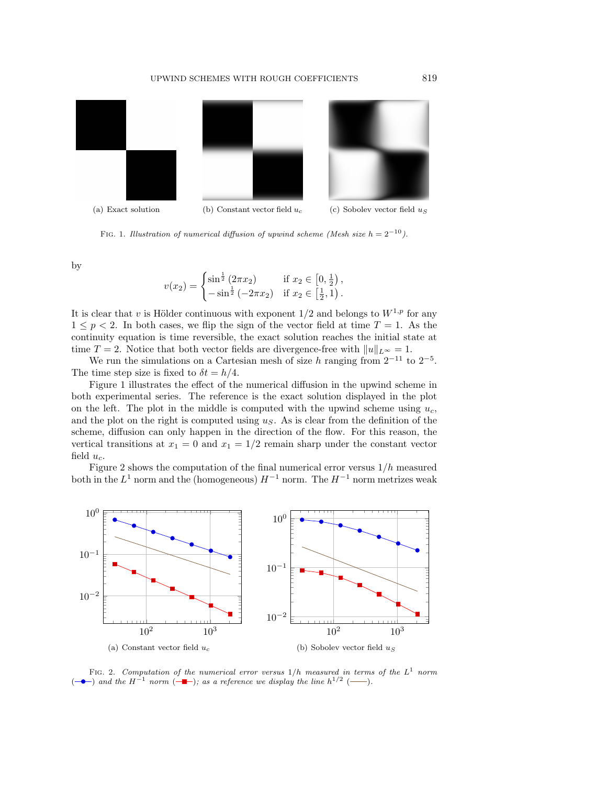#### UPWIND SCHEMES WITH ROUGH COEFFICIENTS 819

<span id="page-7-0"></span>

FIG. 1. Illustration of numerical diffusion of upwind scheme (Mesh size  $h = 2^{-10}$ ).

by

$$
v(x_2) = \begin{cases} \sin^{\frac{1}{2}} (2\pi x_2) & \text{if } x_2 \in [0, \frac{1}{2}), \\ -\sin^{\frac{1}{2}} (-2\pi x_2) & \text{if } x_2 \in [\frac{1}{2}, 1). \end{cases}
$$

It is clear that v is Hölder continuous with exponent  $1/2$  and belongs to  $W^{1,p}$  for any  $1 \leq p < 2$ . In both cases, we flip the sign of the vector field at time  $T = 1$ . As the continuity equation is time reversible, the exact solution reaches the initial state at time  $T = 2$ . Notice that both vector fields are divergence-free with  $||u||_{L^{\infty}} = 1$ .

We run the simulations on a Cartesian mesh of size h ranging from  $2^{-11}$  to  $2^{-5}$ . The time step size is fixed to  $\delta t = h/4$ .

Figure [1](#page-7-0) illustrates the effect of the numerical diffusion in the upwind scheme in both experimental series. The reference is the exact solution displayed in the plot on the left. The plot in the middle is computed with the upwind scheme using  $u_c$ , and the plot on the right is computed using  $u<sub>S</sub>$ . As is clear from the definition of the scheme, diffusion can only happen in the direction of the flow. For this reason, the vertical transitions at  $x_1 = 0$  and  $x_1 = 1/2$  remain sharp under the constant vector field  $u_c$ .

Figure [2](#page-7-1) shows the computation of the final numerical error versus  $1/h$  measured both in the  $L^1$  norm and the (homogeneous)  $H^{-1}$  norm. The  $H^{-1}$  norm metrizes weak

<span id="page-7-1"></span>

<span id="page-7-2"></span>FIG. 2. Computation of the numerical error versus  $1/h$  measured in terms of the  $L^1$  norm  $(-\bullet-)$  $(-\bullet-)$  and the H<sup>-1</sup> norm  $(-\bullet-)$  $(-\bullet-)$ ; as a reference we display the line  $h^{1/2}$  (--).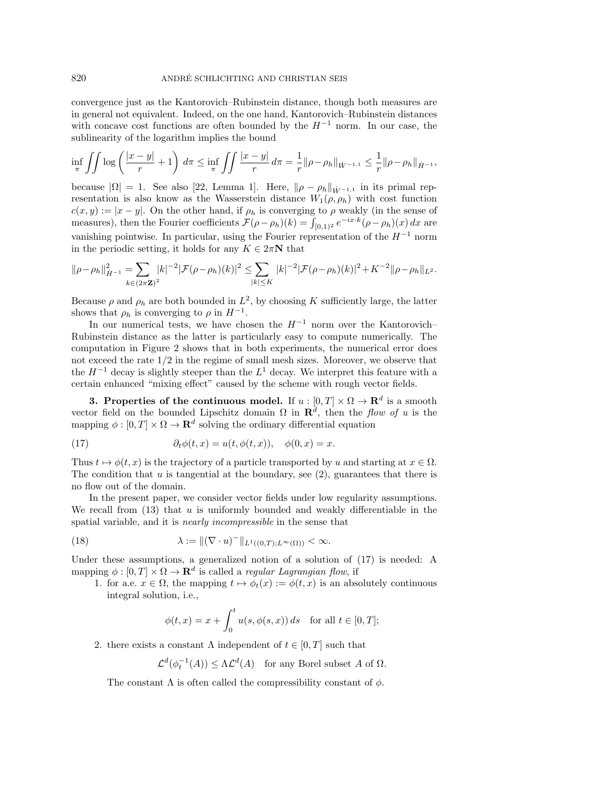convergence just as the Kantorovich–Rubinstein distance, though both measures are in general not equivalent. Indeed, on the one hand, Kantorovich–Rubinstein distances with concave cost functions are often bounded by the  $H^{-1}$  norm. In our case, the sublinearity of the logarithm implies the bound

$$
\inf_{\pi} \iint \log \left( \frac{|x-y|}{r} + 1 \right) d\pi \le \inf_{\pi} \iint \frac{|x-y|}{r} d\pi = \frac{1}{r} ||\rho - \rho_h||_{\dot{W}^{-1,1}} \le \frac{1}{r} ||\rho - \rho_h||_{\dot{H}^{-1}},
$$

because  $|\Omega| = 1$ . See also [\[22,](#page-28-1) Lemma 1]. Here,  $\|\rho - \rho_h\|_{W^{-1,1}}$  in its primal representation is also know as the Wasserstein distance  $W_1(\rho, \rho_h)$  with cost function  $c(x, y) := |x - y|$ . On the other hand, if  $\rho_h$  is converging to  $\rho$  weakly (in the sense of measures), then the Fourier coefficients  $\mathcal{F}(\rho - \rho_h)(k) = \int_{[0,1)^2} e^{-ix \cdot k} (\rho - \rho_h)(x) dx$  are vanishing pointwise. In particular, using the Fourier representation of the  $H^{-1}$  norm in the periodic setting, it holds for any  $K \in 2\pi N$  that

$$
\|\rho-\rho_h\|_{\dot{H}^{-1}}^2 = \sum_{k\in(2\pi\mathbf{Z})^2} |k|^{-2} |\mathcal{F}(\rho-\rho_h)(k)|^2 \leq \sum_{|k|\leq K} |k|^{-2} |\mathcal{F}(\rho-\rho_h)(k)|^2 + K^{-2} \|\rho-\rho_h\|_{L^2}.
$$

Because  $\rho$  and  $\rho_h$  are both bounded in  $L^2$ , by choosing K sufficiently large, the latter shows that  $\rho_h$  is converging to  $\rho$  in  $H^{-1}$ .

In our numerical tests, we have chosen the  $H^{-1}$  norm over the Kantorovich– Rubinstein distance as the latter is particularly easy to compute numerically. The computation in Figure [2](#page-7-1) shows that in both experiments, the numerical error does not exceed the rate 1/2 in the regime of small mesh sizes. Moreover, we observe that the  $H^{-1}$  decay is slightly steeper than the  $L^1$  decay. We interpret this feature with a certain enhanced "mixing effect" caused by the scheme with rough vector fields.

<span id="page-8-0"></span>**3.** Properties of the continuous model. If  $u : [0, T] \times \Omega \to \mathbb{R}^d$  is a smooth vector field on the bounded Lipschitz domain  $\Omega$  in  $\mathbb{R}^d$ , then the flow of u is the mapping  $\phi : [0, T] \times \Omega \to \mathbf{R}^d$  solving the ordinary differential equation

<span id="page-8-1"></span>(17) 
$$
\partial_t \phi(t, x) = u(t, \phi(t, x)), \quad \phi(0, x) = x.
$$

Thus  $t \mapsto \phi(t, x)$  is the trajectory of a particle transported by u and starting at  $x \in \Omega$ . The condition that  $u$  is tangential at the boundary, see  $(2)$ , guarantees that there is no flow out of the domain.

In the present paper, we consider vector fields under low regularity assumptions. We recall from  $(13)$  that u is uniformly bounded and weakly differentiable in the spatial variable, and it is nearly incompressible in the sense that

(18) 
$$
\lambda := \|(\nabla \cdot u)^-\|_{L^1((0,T);L^\infty(\Omega))} < \infty.
$$

Under these assumptions, a generalized notion of a solution of [\(17\)](#page-8-1) is needed: A mapping  $\phi : [0, T] \times \Omega \to \mathbf{R}^d$  is called a *regular Lagrangian flow*, if

1. for a.e.  $x \in \Omega$ , the mapping  $t \mapsto \phi_t(x) := \phi(t, x)$  is an absolutely continuous integral solution, i.e.,

<span id="page-8-2"></span>
$$
\phi(t,x) = x + \int_0^t u(s,\phi(s,x)) ds \quad \text{for all } t \in [0,T];
$$

2. there exists a constant  $\Lambda$  independent of  $t \in [0, T]$  such that

$$
\mathcal{L}^d(\phi_t^{-1}(A)) \le \Lambda \mathcal{L}^d(A) \quad \text{for any Borel subset } A \text{ of } \Omega.
$$

The constant  $\Lambda$  is often called the compressibility constant of  $\phi$ .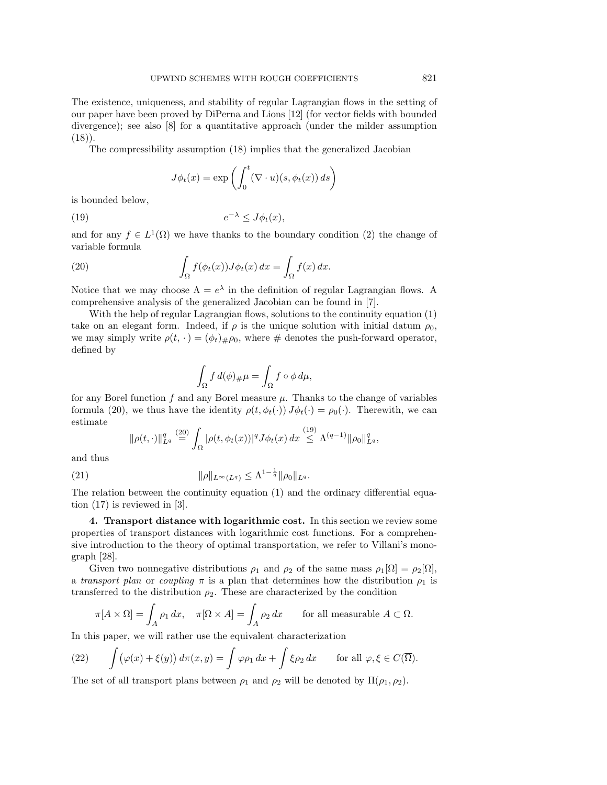The existence, uniqueness, and stability of regular Lagrangian flows in the setting of our paper have been proved by DiPerna and Lions [\[12\]](#page-28-0) (for vector fields with bounded divergence); see also [\[8\]](#page-27-2) for a quantitative approach (under the milder assumption  $(18)$ .

The compressibility assumption [\(18\)](#page-8-2) implies that the generalized Jacobian

<span id="page-9-2"></span><span id="page-9-1"></span>
$$
J\phi_t(x) = \exp\left(\int_0^t (\nabla \cdot u)(s, \phi_t(x)) ds\right)
$$

is bounded below,

$$
(19) \t\t\t e^{-\lambda} \leq J\phi_t(x),
$$

and for any  $f \in L^1(\Omega)$  we have thanks to the boundary condition [\(2\)](#page-1-2) the change of variable formula

(20) 
$$
\int_{\Omega} f(\phi_t(x)) J\phi_t(x) dx = \int_{\Omega} f(x) dx.
$$

Notice that we may choose  $\Lambda = e^{\lambda}$  in the definition of regular Lagrangian flows. A comprehensive analysis of the generalized Jacobian can be found in [\[7\]](#page-27-6).

With the help of regular Lagrangian flows, solutions to the continuity equation [\(1\)](#page-1-1) take on an elegant form. Indeed, if  $\rho$  is the unique solution with initial datum  $\rho_0$ , we may simply write  $\rho(t, \cdot) = (\phi_t)_{\#}\rho_0$ , where  $\#$  denotes the push-forward operator, defined by

$$
\int_{\Omega} f d(\phi)_{\#} \mu = \int_{\Omega} f \circ \phi d\mu,
$$

for any Borel function f and any Borel measure  $\mu$ . Thanks to the change of variables formula [\(20\)](#page-9-1), we thus have the identity  $\rho(t, \phi_t(\cdot)) J\phi_t(\cdot) = \rho_0(\cdot)$ . Therewith, we can estimate

<span id="page-9-4"></span>
$$
\|\rho(t,\cdot)\|_{L^q}^q \stackrel{(20)}{=} \int_{\Omega} |\rho(t,\phi_t(x))|^q J\phi_t(x) dx \stackrel{(19)}{\leq} \Lambda^{(q-1)} \|\rho_0\|_{L^q}^q,
$$

and thus

(21) 
$$
\|\rho\|_{L^{\infty}(L^q)} \leq \Lambda^{1-\frac{1}{q}} \|\rho_0\|_{L^q}.
$$

The relation between the continuity equation [\(1\)](#page-1-1) and the ordinary differential equation [\(17\)](#page-8-1) is reviewed in [\[3\]](#page-27-7).

<span id="page-9-0"></span>4. Transport distance with logarithmic cost. In this section we review some properties of transport distances with logarithmic cost functions. For a comprehensive introduction to the theory of optimal transportation, we refer to Villani's monograph [\[28\]](#page-28-17).

Given two nonnegative distributions  $\rho_1$  and  $\rho_2$  of the same mass  $\rho_1[\Omega] = \rho_2[\Omega]$ , a transport plan or coupling  $\pi$  is a plan that determines how the distribution  $\rho_1$  is transferred to the distribution  $\rho_2$ . These are characterized by the condition

$$
\pi[A \times \Omega] = \int_A \rho_1 \, dx, \quad \pi[\Omega \times A] = \int_A \rho_2 \, dx \quad \text{for all measurable } A \subset \Omega.
$$

In this paper, we will rather use the equivalent characterization

<span id="page-9-3"></span>(22) 
$$
\int (\varphi(x) + \xi(y)) d\pi(x, y) = \int \varphi \rho_1 dx + \int \xi \rho_2 dx \quad \text{for all } \varphi, \xi \in C(\overline{\Omega}).
$$

The set of all transport plans between  $\rho_1$  and  $\rho_2$  will be denoted by  $\Pi(\rho_1, \rho_2)$ .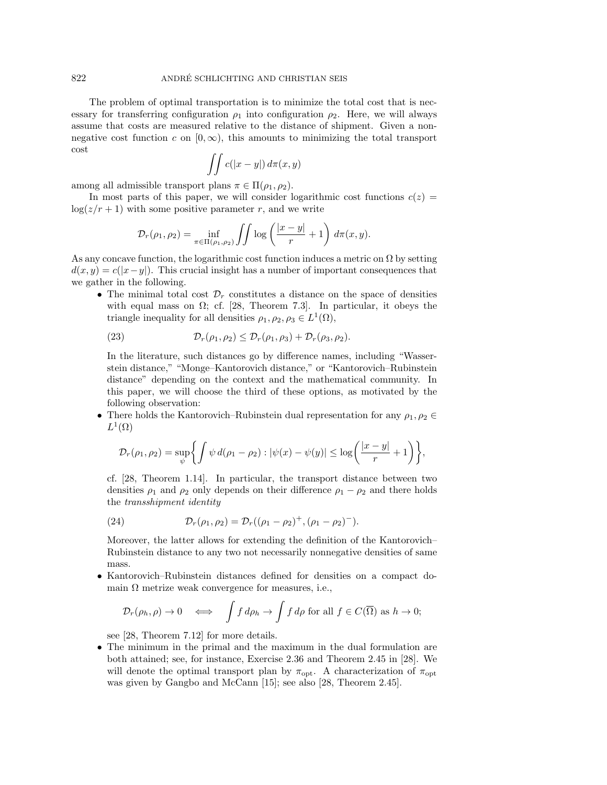The problem of optimal transportation is to minimize the total cost that is necessary for transferring configuration  $\rho_1$  into configuration  $\rho_2$ . Here, we will always assume that costs are measured relative to the distance of shipment. Given a nonnegative cost function c on  $(0, \infty)$ , this amounts to minimizing the total transport cost

$$
\iint c(|x-y|) d\pi(x,y)
$$

among all admissible transport plans  $\pi \in \Pi(\rho_1, \rho_2)$ .

In most parts of this paper, we will consider logarithmic cost functions  $c(z)$  =  $\log(z/r+1)$  with some positive parameter r, and we write

$$
\mathcal{D}_r(\rho_1, \rho_2) = \inf_{\pi \in \Pi(\rho_1, \rho_2)} \iint \log \left( \frac{|x - y|}{r} + 1 \right) d\pi(x, y).
$$

As any concave function, the logarithmic cost function induces a metric on  $\Omega$  by setting  $d(x, y) = c(|x-y|)$ . This crucial insight has a number of important consequences that we gather in the following.

• The minimal total cost  $\mathcal{D}_r$  constitutes a distance on the space of densities with equal mass on  $\Omega$ ; cf. [\[28,](#page-28-17) Theorem 7.3]. In particular, it obeys the triangle inequality for all densities  $\rho_1, \rho_2, \rho_3 \in L^1(\Omega)$ ,

<span id="page-10-1"></span>(23) 
$$
\mathcal{D}_r(\rho_1, \rho_2) \leq \mathcal{D}_r(\rho_1, \rho_3) + \mathcal{D}_r(\rho_3, \rho_2).
$$

In the literature, such distances go by difference names, including "Wasserstein distance," "Monge–Kantorovich distance," or "Kantorovich–Rubinstein distance" depending on the context and the mathematical community. In this paper, we will choose the third of these options, as motivated by the following observation:

• There holds the Kantorovich–Rubinstein dual representation for any  $\rho_1, \rho_2 \in$  $L^1(\Omega)$ 

$$
\mathcal{D}_r(\rho_1, \rho_2) = \sup_{\psi} \left\{ \int \psi \, d(\rho_1 - \rho_2) : |\psi(x) - \psi(y)| \leq \log \left( \frac{|x - y|}{r} + 1 \right) \right\},\
$$

cf. [\[28,](#page-28-17) Theorem 1.14]. In particular, the transport distance between two densities  $\rho_1$  and  $\rho_2$  only depends on their difference  $\rho_1 - \rho_2$  and there holds the transshipment identity

<span id="page-10-0"></span>(24) 
$$
\mathcal{D}_r(\rho_1, \rho_2) = \mathcal{D}_r((\rho_1 - \rho_2)^+, (\rho_1 - \rho_2)^-).
$$

Moreover, the latter allows for extending the definition of the Kantorovich– Rubinstein distance to any two not necessarily nonnegative densities of same mass.

• Kantorovich–Rubinstein distances defined for densities on a compact domain  $\Omega$  metrize weak convergence for measures, i.e.,

$$
\mathcal{D}_r(\rho_h, \rho) \to 0 \quad \Longleftrightarrow \quad \int f \, d\rho_h \to \int f \, d\rho \text{ for all } f \in C(\overline{\Omega}) \text{ as } h \to 0;
$$

see [\[28,](#page-28-17) Theorem 7.12] for more details.

• The minimum in the primal and the maximum in the dual formulation are both attained; see, for instance, Exercise 2.36 and Theorem 2.45 in [\[28\]](#page-28-17). We will denote the optimal transport plan by  $\pi_{\text{opt}}$ . A characterization of  $\pi_{\text{opt}}$ was given by Gangbo and McCann [\[15\]](#page-28-18); see also [\[28,](#page-28-17) Theorem 2.45].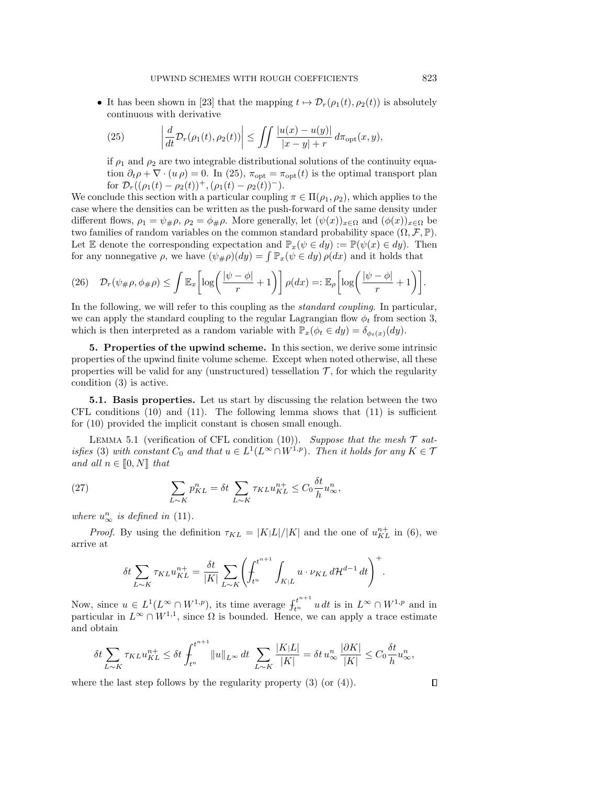• It has been shown in [\[23\]](#page-28-2) that the mapping  $t \mapsto \mathcal{D}_r(\rho_1(t), \rho_2(t))$  is absolutely continuous with derivative

<span id="page-11-2"></span>(25) 
$$
\left| \frac{d}{dt} \mathcal{D}_r(\rho_1(t), \rho_2(t)) \right| \leq \iint \frac{|u(x) - u(y)|}{|x - y| + r} d\pi_{\text{opt}}(x, y),
$$

if  $\rho_1$  and  $\rho_2$  are two integrable distributional solutions of the continuity equation  $\partial_t \rho + \nabla \cdot (u \rho) = 0$ . In [\(25\)](#page-11-2),  $\pi_{\text{opt}} = \pi_{\text{opt}}(t)$  is the optimal transport plan for  $\mathcal{D}_r((\rho_1(t) - \rho_2(t))^+, (\rho_1(t) - \rho_2(t))^-)$ .

We conclude this section with a particular coupling  $\pi \in \Pi(\rho_1, \rho_2)$ , which applies to the case where the densities can be written as the push-forward of the same density under different flows,  $\rho_1 = \psi_{\#}\rho$ ,  $\rho_2 = \phi_{\#}\rho$ . More generally, let  $(\psi(x))_{x \in \Omega}$  and  $(\phi(x))_{x \in \Omega}$  be two families of random variables on the common standard probability space  $(\Omega, \mathcal{F}, \mathbb{P})$ . Let E denote the corresponding expectation and  $\mathbb{P}_x(\psi \in dy) := \mathbb{P}(\psi(x) \in dy)$ . Then for any nonnegative  $\rho$ , we have  $(\psi_{\#}\rho)(dy) = \int \mathbb{P}_x(\psi \in dy) \rho(dx)$  and it holds that

<span id="page-11-4"></span>
$$
(26) \quad \mathcal{D}_r(\psi_{\#}\rho,\phi_{\#}\rho) \leq \int \mathbb{E}_x \left[ \log \left( \frac{|\psi - \phi|}{r} + 1 \right) \right] \rho(dx) =: \mathbb{E}_{\rho} \left[ \log \left( \frac{|\psi - \phi|}{r} + 1 \right) \right].
$$

In the following, we will refer to this coupling as the *standard coupling*. In particular, we can apply the standard coupling to the regular Lagrangian flow  $\phi_t$  from section [3,](#page-8-0) which is then interpreted as a random variable with  $\mathbb{P}_x(\phi_t \in dy) = \delta_{\phi_t(x)}(dy)$ .

<span id="page-11-0"></span>5. Properties of the upwind scheme. In this section, we derive some intrinsic properties of the upwind finite volume scheme. Except when noted otherwise, all these properties will be valid for any (unstructured) tessellation  $\mathcal{T}$ , for which the regularity condition [\(3\)](#page-2-0) is active.

5.1. Basis properties. Let us start by discussing the relation between the two CFL conditions  $(10)$  and  $(11)$ . The following lemma shows that  $(11)$  is sufficient for [\(10\)](#page-3-0) provided the implicit constant is chosen small enough.

<span id="page-11-1"></span>LEMMA 5.1 (verification of CFL condition [\(10\)](#page-3-0)). Suppose that the mesh  $\mathcal{T}$  sat-isfies [\(3\)](#page-2-0) with constant  $C_0$  and that  $u \in L^1(L^{\infty} \cap W^{1,p})$ . Then it holds for any  $K \in \mathcal{T}$ and all  $n \in [0, N]$  that

(27) 
$$
\sum_{L \sim K} p_{KL}^n = \delta t \sum_{L \sim K} \tau_{KL} u_{KL}^{n+} \leq C_0 \frac{\delta t}{h} u_\infty^n,
$$

where  $u_{\infty}^n$  is defined in [\(11\)](#page-4-0).

*Proof.* By using the definition  $\tau_{KL} = |K|L|/|K|$  and the one of  $u_{KL}^{n+}$  in [\(6\)](#page-3-4), we arrive at

<span id="page-11-3"></span>
$$
\delta t \sum_{L \sim K} \tau_{KL} u_{KL}^{n+} = \frac{\delta t}{|K|} \sum_{L \sim K} \left( \int_{t^n}^{t^{n+1}} \int_{K|L} u \cdot \nu_{KL} d\mathcal{H}^{d-1} dt \right)^+.
$$

Now, since  $u \in L^1(L^{\infty} \cap W^{1,p})$ , its time average  $f_{t^n}^{t^{n+1}} u dt$  is in  $L^{\infty} \cap W^{1,p}$  and in particular in  $L^{\infty} \cap W^{1,1}$ , since  $\Omega$  is bounded. Hence, we can apply a trace estimate and obtain

$$
\delta t \sum_{L \sim K} \tau_{KL} u_{KL}^{n+} \le \delta t \int_{t^n}^{t^{n+1}} \|u\|_{L^\infty} dt \sum_{L \sim K} \frac{|K|L|}{|K|} = \delta t u_\infty^n \frac{|\partial K|}{|K|} \le C_0 \frac{\delta t}{h} u_\infty^n,
$$

where the last step follows by the regularity property  $(3)$  (or  $(4)$ ).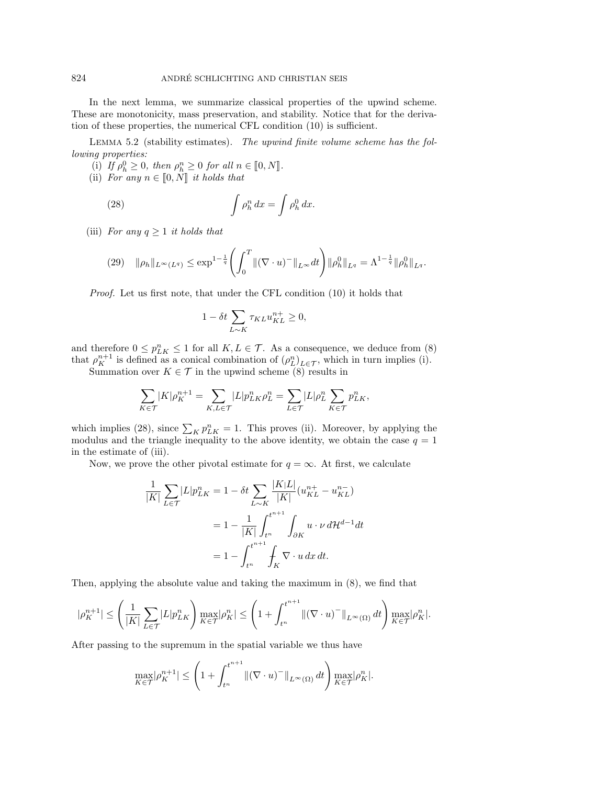In the next lemma, we summarize classical properties of the upwind scheme. These are monotonicity, mass preservation, and stability. Notice that for the derivation of these properties, the numerical CFL condition [\(10\)](#page-3-0) is sufficient.

<span id="page-12-0"></span>LEMMA 5.2 (stability estimates). The upwind finite volume scheme has the following properties:

- (i) If  $\rho_h^0 \geq 0$ , then  $\rho_h^n \geq 0$  for all  $n \in [0, N]$ .<br>
ii) Exp. any  $n \in [0, N]$  it holds that
- (ii) For any  $n \in [0, N]$  it holds that

(28) 
$$
\int \rho_h^n dx = \int \rho_h^0 dx.
$$

(iii) For any  $q \geq 1$  it holds that

<span id="page-12-2"></span>
$$
(29) \quad \|\rho_h\|_{L^{\infty}(L^q)} \le \exp^{1-\frac{1}{q}} \left( \int_0^T \|(\nabla \cdot u)^-\|_{L^{\infty}} dt \right) \|\rho_h^0\|_{L^q} = \Lambda^{1-\frac{1}{q}} \|\rho_h^0\|_{L^q}.
$$

Proof. Let us first note, that under the CFL condition [\(10\)](#page-3-0) it holds that

<span id="page-12-1"></span>
$$
1 - \delta t \sum_{L \sim K} \tau_{KL} u_{KL}^{n+} \ge 0,
$$

and therefore  $0 \leq p_{LK}^n \leq 1$  for all  $K, L \in \mathcal{T}$ . As a consequence, we deduce from [\(8\)](#page-3-5) that  $\rho_K^{n+1}$  is defined as a conical combination of  $(\rho_L^n)_{L \in \mathcal{T}}$ , which in turn implies (i).

Summation over  $K \in \mathcal{T}$  in the upwind scheme [\(8\)](#page-3-5) results in

$$
\sum_{K \in \mathcal{T}} |K| \rho_K^{n+1} = \sum_{K,L \in \mathcal{T}} |L| p_{LK}^n \rho_L^n = \sum_{L \in \mathcal{T}} |L| \rho_L^n \sum_{K \in \mathcal{T}} p_{LK}^n,
$$

which implies [\(28\)](#page-12-1), since  $\sum_{K} p_{LK}^{n} = 1$ . This proves (ii). Moreover, by applying the modulus and the triangle inequality to the above identity, we obtain the case  $q = 1$ in the estimate of (iii).

Now, we prove the other pivotal estimate for  $q = \infty$ . At first, we calculate

$$
\frac{1}{|K|} \sum_{L \in \mathcal{T}} |L| p_{LK}^n = 1 - \delta t \sum_{L \sim K} \frac{|K|L|}{|K|} (u_{KL}^{n+} - u_{KL}^{n-})
$$

$$
= 1 - \frac{1}{|K|} \int_{t^n}^{t^{n+1}} \int_{\partial K} u \cdot \nu \, d\mathcal{H}^{d-1} dt
$$

$$
= 1 - \int_{t^n}^{t^{n+1}} \int_K \nabla \cdot u \, dx \, dt.
$$

Then, applying the absolute value and taking the maximum in [\(8\)](#page-3-5), we find that

$$
|\rho_K^{n+1}| \le \left(\frac{1}{|K|} \sum_{L \in \mathcal{T}} |L| p_{LK}^n \right) \max_{K \in \mathcal{T}} |\rho_K^n| \le \left(1 + \int_{t^n}^{t^{n+1}} \|(\nabla \cdot u)^-\|_{L^\infty(\Omega)} dt\right) \max_{K \in \mathcal{T}} |\rho_K^n|.
$$

After passing to the supremum in the spatial variable we thus have

$$
\max_{K \in \mathcal{T}} |\rho_K^{n+1}| \le \left(1 + \int_{t^n}^{t^{n+1}} \|(\nabla \cdot u)^-\|_{L^\infty(\Omega)} dt\right) \max_{K \in \mathcal{T}} |\rho_K^n|.
$$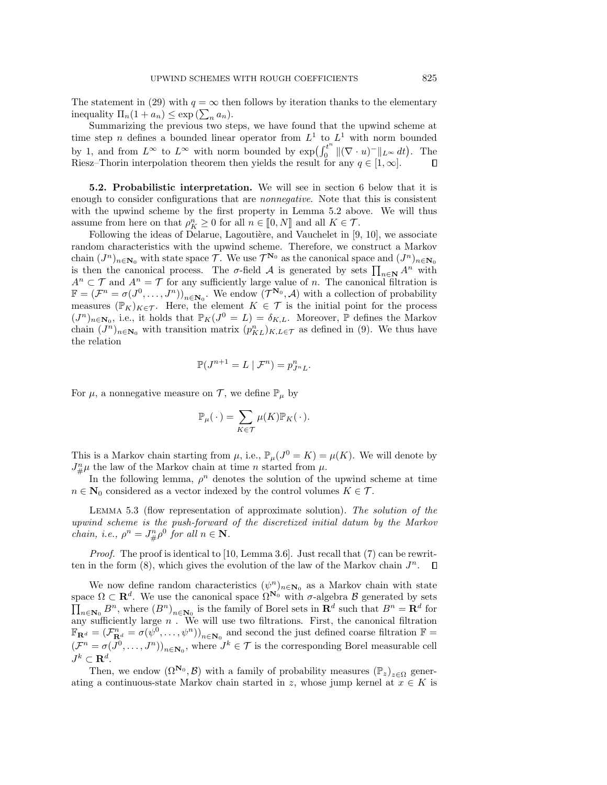The statement in [\(29\)](#page-12-2) with  $q = \infty$  then follows by iteration thanks to the elementary inequality  $\Pi_n(1 + a_n) \leq \exp\left(\sum_n a_n\right)$ .

Summarizing the previous two steps, we have found that the upwind scheme at time step n defines a bounded linear operator from  $L^1$  to  $L^1$  with norm bounded by 1, and from  $L^{\infty}$  to  $L^{\infty}$  with norm bounded by  $\exp(\int_0^{t^n}$  $\int_0^t \|(\nabla \cdot u)^-\|_{L^\infty} dt$ . The Riesz–Thorin interpolation theorem then yields the result for any  $q \in [1,\infty]$ .

5.2. Probabilistic interpretation. We will see in section [6](#page-18-0) below that it is enough to consider configurations that are *nonnegative*. Note that this is consistent with the upwind scheme by the first property in Lemma [5.2](#page-12-0) above. We will thus assume from here on that  $\rho_K^n \geq 0$  for all  $n \in [0, N]$  and all  $K \in \mathcal{T}$ .<br>
Esllewing the ideas of Dolarue, Lagoutière, and Vaughelet in [0]

Following the ideas of Delarue, Lagoutière, and Vauchelet in  $[9, 10]$  $[9, 10]$ , we associate random characteristics with the upwind scheme. Therefore, we construct a Markov chain  $(J^n)_{n\in\mathbf{N}_0}$  with state space  $\mathcal{T}$ . We use  $\mathcal{T}^{\mathbf{N}_0}$  as the canonical space and  $(J^n)_{n\in\mathbf{N}_0}$ is then the canonical process. The  $\sigma$ -field A is generated by sets  $\prod_{n\in\mathbb{N}} A^n$  with  $A^n \subset \mathcal{T}$  and  $A^n = \mathcal{T}$  for any sufficiently large value of n. The canonical filtration is  $\mathbb{F}=(\mathcal{F}^n=\sigma(J^0,\ldots,J^n))_{n\in\mathbf{N}_0}$ . We endow  $(\mathcal{T}^{\mathbf{N}_0},\mathcal{A})$  with a collection of probability measures  $(\mathbb{P}_K)_{K\in\mathcal{T}}$ . Here, the element  $K\in\mathcal{T}$  is the initial point for the process  $(J^n)_{n\in\mathbf{N}_0}$ , i.e., it holds that  $\mathbb{P}_K(J^0 = L) = \delta_{K,L}$ . Moreover,  $\mathbb P$  defines the Markov chain  $(J^n)_{n\in\mathbb{N}_0}$  with transition matrix  $(p_{KL}^n)_{K,L\in\mathcal{T}}$  as defined in [\(9\)](#page-3-6). We thus have the relation

$$
\mathbb{P}(J^{n+1}=L \mid \mathcal{F}^n) = p_{J^nL}^n.
$$

For  $\mu$ , a nonnegative measure on  $\mathcal{T}$ , we define  $\mathbb{P}_{\mu}$  by

$$
\mathbb{P}_{\mu}(\cdot) = \sum_{K \in \mathcal{T}} \mu(K) \mathbb{P}_K(\cdot).
$$

This is a Markov chain starting from  $\mu$ , i.e.,  $\mathbb{P}_{\mu}(J^0 = K) = \mu(K)$ . We will denote by  $J_{\#}^n\mu$  the law of the Markov chain at time n started from  $\mu$ .

In the following lemma,  $\rho^n$  denotes the solution of the upwind scheme at time  $n \in \mathbb{N}_0$  considered as a vector indexed by the control volumes  $K \in \mathcal{T}$ .

LEMMA 5.3 (flow representation of approximate solution). The solution of the upwind scheme is the push-forward of the discretized initial datum by the Markov *chain, i.e.,*  $\rho^n = J_{\#}^n \rho^0$  for all  $n \in \mathbb{N}$ .

*Proof.* The proof is identical to [\[10,](#page-28-6) Lemma 3.6]. Just recall that [\(7\)](#page-3-1) can be rewritten in the form  $(8)$ , which gives the evolution of the law of the Markov chain  $J<sup>n</sup>$ .  $\Box$ 

We now define random characteristics  $(\psi^n)_{n \in \mathbb{N}_0}$  as a Markov chain with state space  $\Omega \subset \mathbf{R}^d$ . We use the canonical space  $\Omega^{\mathbf{N}_0}$  with  $\sigma$ -algebra  $\mathcal{B}$  generated by sets  $\prod_{n\in\mathbf{N}_0} B^n$ , where  $(B^n)_{n\in\mathbf{N}_0}$  is the family of Borel sets in  $\mathbf{R}^d$  such that  $B^n = \mathbf{R}^d$  for any sufficiently large  $n$ . We will use two filtrations. First, the canonical filtration  $\mathbb{F}_{\mathbf{R}^d} = (\mathcal{F}_{\mathbf{R}^d}^n = \sigma(\psi^0, \dots, \psi^n))_{n \in \mathbf{N}_0}$  and second the just defined coarse filtration  $\mathbb{F} =$  $(\mathcal{F}^n = \sigma(J^0, \ldots, J^n))_{n \in \mathbb{N}_0}$ , where  $J^k \in \mathcal{T}$  is the corresponding Borel measurable cell  $J^k\subset {\mathbf{R}}^d.$ 

Then, we endow  $(\Omega^{\mathbf{N}_0}, \mathcal{B})$  with a family of probability measures  $(\mathbb{P}_z)_{z \in \Omega}$  generating a continuous-state Markov chain started in z, whose jump kernel at  $x \in K$  is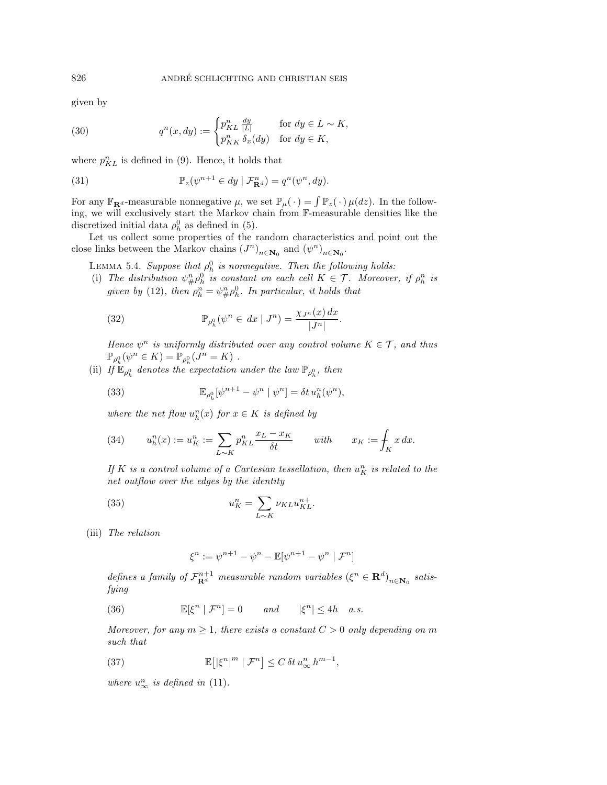given by

<span id="page-14-2"></span>(30) 
$$
q^{n}(x, dy) := \begin{cases} p_{KL}^{n} \frac{dy}{|L|} & \text{for } dy \in L \sim K, \\ p_{KK}^{n} \delta_x(dy) & \text{for } dy \in K, \end{cases}
$$

where  $p_{KL}^n$  is defined in [\(9\)](#page-3-6). Hence, it holds that

<span id="page-14-3"></span>(31) 
$$
\mathbb{P}_z(\psi^{n+1} \in dy \mid \mathcal{F}_{\mathbf{R}^d}^n) = q^n(\psi^n, dy).
$$

For any  $\mathbb{F}_{\mathbf{R}^d}$ -measurable nonnegative  $\mu$ , we set  $\mathbb{P}_{\mu}(\cdot) = \int \mathbb{P}_z(\cdot) \mu(dz)$ . In the following, we will exclusively start the Markov chain from F-measurable densities like the discretized initial data  $\rho_h^0$  as defined in [\(5\)](#page-3-3).

Let us collect some properties of the random characteristics and point out the close links between the Markov chains  $(J^n)_{n \in \mathbb{N}_0}$  and  $(\psi^n)_{n \in \mathbb{N}_0}$ .

<span id="page-14-0"></span>LEMMA 5.4. Suppose that  $\rho_h^0$  is nonnegative. Then the following holds:

(i) The distribution  $\psi_{\#}^n \rho_h^0$  is constant on each cell  $K \in \mathcal{T}$ . Moreover, if  $\rho_h^n$  is given by [\(12\)](#page-4-1), then  $\rho_h^n = \psi_{\#}^n \rho_h^0$ . In particular, it holds that

<span id="page-14-4"></span>(32) 
$$
\mathbb{P}_{\rho_h^0}(\psi^n \in dx \mid J^n) = \frac{\chi_{J^n}(x) dx}{|J^n|}.
$$

Hence  $\psi^n$  is uniformly distributed over any control volume  $K \in \mathcal{T}$ , and thus  $\mathbb{P}_{\rho_h^0}(\psi^n \in K) = \mathbb{P}_{\rho_h^0}(J^n = K)$ .

(ii) If  $\mathbb{E}_{\rho_h^0}$  denotes the expectation under the law  $\mathbb{P}_{\rho_h^0}$ , then

<span id="page-14-5"></span>(33) 
$$
\mathbb{E}_{\rho_h^0}[\psi^{n+1} - \psi^n \mid \psi^n] = \delta t \, u_h^n(\psi^n),
$$

where the net flow  $u_h^n(x)$  for  $x \in K$  is defined by

<span id="page-14-6"></span>(34) 
$$
u_h^n(x) := u_K^n := \sum_{L \sim K} p_{KL}^n \frac{x_L - x_K}{\delta t} \quad \text{with} \quad x_K := \int_K x \, dx.
$$

If K is a control volume of a Cartesian tessellation, then  $u_K^n$  is related to the net outflow over the edges by the identity

(35) 
$$
u_K^n = \sum_{L \sim K} \nu_{KL} u_{KL}^{n+}.
$$

(iii) The relation

<span id="page-14-8"></span><span id="page-14-1"></span>
$$
\xi^n:=\psi^{n+1}-\psi^n-\mathbb{E}[\psi^{n+1}-\psi^n\mid\mathcal{F}^n]
$$

defines a family of  $\mathcal{F}_{\mathbf{R}^d}^{n+1}$  measurable random variables  $(\xi^n \in \mathbf{R}^d)_{n \in \mathbf{N}_0}$  satisfying

(36)  $\mathbb{E}[\xi^n | \mathcal{F}^n] = 0$  and  $|\xi^n| \le 4h$  a.s.

Moreover, for any  $m \geq 1$ , there exists a constant  $C > 0$  only depending on m such that

<span id="page-14-7"></span>(37) 
$$
\mathbb{E}\big[ |\xi^n|^m | \mathcal{F}^n \big] \leq C \, \delta t \, u_\infty^n \, h^{m-1},
$$

where  $u_{\infty}^n$  is defined in [\(11\)](#page-4-0).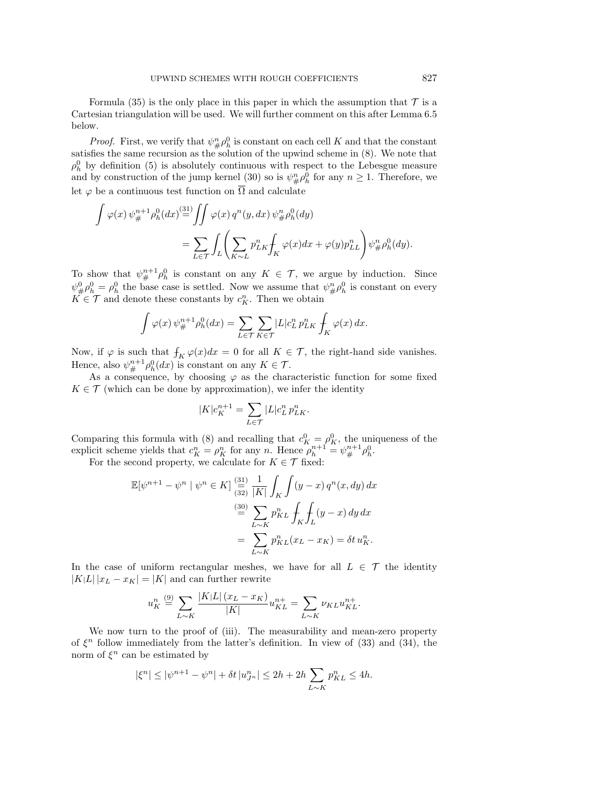Formula [\(35\)](#page-14-1) is the only place in this paper in which the assumption that  $\mathcal T$  is a Cartesian triangulation will be used. We will further comment on this after Lemma [6.5](#page-20-0) below.

*Proof.* First, we verify that  $\psi_{\#}^n \rho_h^0$  is constant on each cell K and that the constant satisfies the same recursion as the solution of the upwind scheme in [\(8\)](#page-3-5). We note that  $\rho_h^0$  by definition [\(5\)](#page-3-3) is absolutely continuous with respect to the Lebesgue measure and by construction of the jump kernel [\(30\)](#page-14-2) so is  $\psi_{\#}^n \rho_h^0$  for any  $n \geq 1$ . Therefore, we let  $\varphi$  be a continuous test function on  $\overline{\Omega}$  and calculate

$$
\int \varphi(x) \, \psi_{\#}^{n+1} \rho_h^0(dx) \stackrel{\text{(31)}}{=} \iint \varphi(x) \, q^n(y, dx) \, \psi_{\#}^n \rho_h^0(dy)
$$
\n
$$
= \sum_{L \in \mathcal{T}} \int_L \left( \sum_{K \sim L} p_{LK}^n \int_K \varphi(x) dx + \varphi(y) p_{LL}^n \right) \psi_{\#}^n \rho_h^0(dy).
$$

To show that  $\psi^{n+1}_{\#} \rho_h^0$  is constant on any  $K \in \mathcal{T}$ , we argue by induction. Since  $\psi^0_{\#}\rho^0_h = \rho^0_h$  the base case is settled. Now we assume that  $\psi^n_{\#}\rho^0_h$  is constant on every  $K \in \mathcal{T}$  and denote these constants by  $c_K^n$ . Then we obtain

$$
\int \varphi(x) \,\psi_{\#}^{n+1} \rho_h^0(dx) = \sum_{L \in \mathcal{T}} \sum_{K \in \mathcal{T}} |L| c_L^n \, p_{LK}^n \int_K \varphi(x) \, dx.
$$

Now, if  $\varphi$  is such that  $\oint_K \varphi(x)dx = 0$  for all  $K \in \mathcal{T}$ , the right-hand side vanishes. Hence, also  $\psi_{\#}^{n+1} \rho_h^0(dx)$  is constant on any  $K \in \mathcal{T}$ .

As a consequence, by choosing  $\varphi$  as the characteristic function for some fixed  $K \in \mathcal{T}$  (which can be done by approximation), we infer the identity

$$
|K|c_K^{n+1}=\sum_{L\in\mathcal{T}}|L|c_L^n\,p_{LK}^n.
$$

Comparing this formula with [\(8\)](#page-3-5) and recalling that  $c_K^0 = \rho_K^0$ , the uniqueness of the explicit scheme yields that  $c_K^n = \rho_K^n$  for any n. Hence  $\rho_h^{n+1} = \psi_{\#}^{n+1} \rho_h^0$ .

For the second property, we calculate for  $K \in \mathcal{T}$  fixed:

$$
\mathbb{E}[\psi^{n+1} - \psi^n \mid \psi^n \in K] \stackrel{\text{(31)}}{\underset{(32)}{\equiv}} \frac{1}{|K|} \int_K \int (y - x) q^n(x, dy) dx
$$

$$
\stackrel{\text{(30)}}{\equiv} \sum_{L \sim K} p_{KL}^n \int_K \int_L (y - x) dy dx
$$

$$
= \sum_{L \sim K} p_{KL}^n(x_L - x_K) = \delta t u_K^n.
$$

In the case of uniform rectangular meshes, we have for all  $L \in \mathcal{T}$  the identity  $|K|L||x_L - x_K| = |K|$  and can further rewrite

$$
u_K^n \stackrel{\text{(9)}}{=} \sum_{L \sim K} \frac{|K|L| \left(x_L - x_K\right)}{|K|} u_{KL}^{n+} = \sum_{L \sim K} \nu_{KL} u_{KL}^{n+}.
$$

We now turn to the proof of (iii). The measurability and mean-zero property of  $\xi^n$  follow immediately from the latter's definition. In view of [\(33\)](#page-14-5) and [\(34\)](#page-14-6), the norm of  $\xi^n$  can be estimated by

$$
|\xi^n| \le |\psi^{n+1} - \psi^n| + \delta t |u_{J^n}^n| \le 2h + 2h \sum_{L \sim K} p_{KL}^n \le 4h.
$$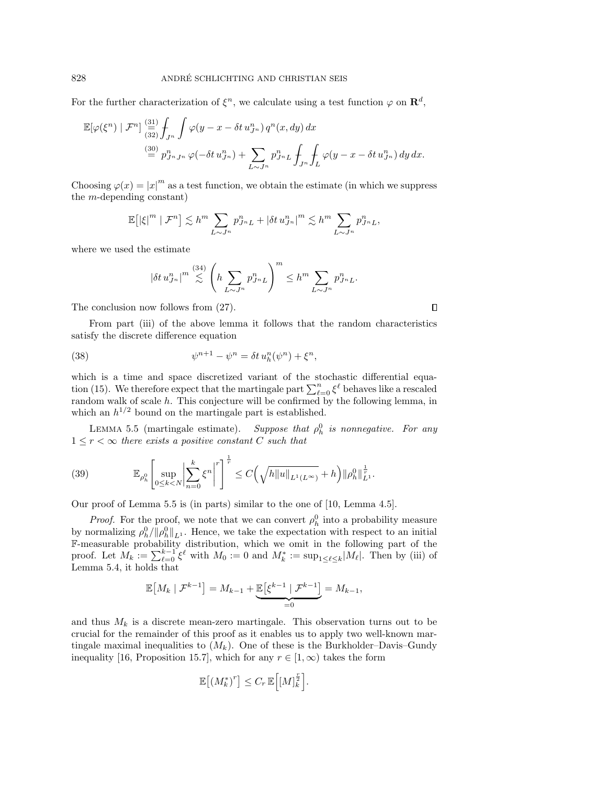For the further characterization of  $\xi^n$ , we calculate using a test function  $\varphi$  on  $\mathbf{R}^d$ ,

$$
\mathbb{E}[\varphi(\xi^n) \mid \mathcal{F}^n] \stackrel{(31)}{\underset{(32)}{\equiv}} \int_{J^n} \int \varphi(y - x - \delta t \, u_{J^n}^n) \, q^n(x, dy) \, dx
$$
  

$$
\stackrel{(30)}{=} p_{J^n J^n}^n \varphi(-\delta t \, u_{J^n}^n) + \sum_{L \sim J^n} p_{J^n L}^n \int_{J^n} \int_L \varphi(y - x - \delta t \, u_{J^n}^n) \, dy \, dx.
$$

Choosing  $\varphi(x) = |x|^m$  as a test function, we obtain the estimate (in which we suppress the m-depending constant)

$$
\mathbb{E}\big[ |\xi|^m \mid \mathcal{F}^n \big] \lesssim h^m \sum_{L \sim J^n} p_{J^n L}^n + |\delta t \, u_{J^n}^n|^{m} \lesssim h^m \sum_{L \sim J^n} p_{J^n L}^n,
$$

where we used the estimate

<span id="page-16-0"></span>
$$
|\delta t\, u_{J^n}^n|^m \stackrel{(34)}{\lesssim} \left(h \sum_{L \sim J^n} p_{J^nL}^n \right)^m \leq h^m \sum_{L \sim J^n} p_{J^nL}^n.
$$

 $\Box$ 

The conclusion now follows from [\(27\)](#page-11-3).

From part (iii) of the above lemma it follows that the random characteristics satisfy the discrete difference equation

(38) 
$$
\psi^{n+1} - \psi^n = \delta t \, u_h^n(\psi^n) + \xi^n,
$$

which is a time and space discretized variant of the stochastic differential equa-tion [\(15\)](#page-6-1). We therefore expect that the martingale part  $\sum_{\ell=0}^{n} \xi^{\ell}$  behaves like a rescaled random walk of scale  $h$ . This conjecture will be confirmed by the following lemma, in which an  $h^{1/2}$  bound on the martingale part is established.

<span id="page-16-1"></span>LEMMA 5.5 (martingale estimate). Suppose that  $\rho_h^0$  is nonnegative. For any  $1 \leq r < \infty$  there exists a positive constant C such that

<span id="page-16-2"></span>(39) 
$$
\mathbb{E}_{\rho_h^0} \left[ \sup_{0 \le k < N} \left| \sum_{n=0}^k \xi^n \right|^r \right]^{\frac{1}{r}} \le C \left( \sqrt{h \|u\|_{L^1(L^\infty)}} + h \right) \|\rho_h^0\|_{L^1}^{\frac{1}{r}}.
$$

Our proof of Lemma [5.5](#page-16-1) is (in parts) similar to the one of [\[10,](#page-28-6) Lemma 4.5].

*Proof.* For the proof, we note that we can convert  $\rho_h^0$  into a probability measure by normalizing  $\rho_h^0 / \| \rho_h^0 \|_{L^1}$ . Hence, we take the expectation with respect to an initial F-measurable probability distribution, which we omit in the following part of the proof. Let  $M_k := \sum_{\ell=0}^{k-1} \xi^{\ell}$  with  $M_0 := 0$  and  $M_k^* := \sup_{1 \leq \ell \leq k} |M_{\ell}|$ . Then by (iii) of Lemma [5.4,](#page-14-0) it holds that

$$
\mathbb{E}\left[M_k \mid \mathcal{F}^{k-1}\right] = M_{k-1} + \underbrace{\mathbb{E}\left[\xi^{k-1} \mid \mathcal{F}^{k-1}\right]}_{=0} = M_{k-1},
$$

and thus  $M_k$  is a discrete mean-zero martingale. This observation turns out to be crucial for the remainder of this proof as it enables us to apply two well-known martingale maximal inequalities to  $(M_k)$ . One of these is the Burkholder–Davis–Gundy inequality [\[16,](#page-28-19) Proposition 15.7], which for any  $r \in [1,\infty)$  takes the form

$$
\mathbb{E}\left[\left(M_k^*\right)^r\right] \leq C_r \,\mathbb{E}\left[\left[M\right]_k^{\frac{r}{2}}\right].
$$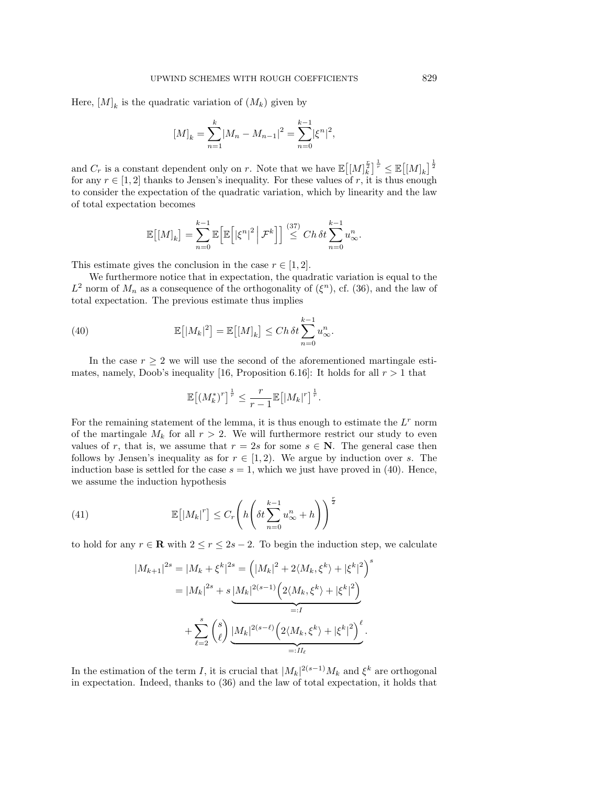Here,  $[M]_k$  is the quadratic variation of  $(M_k)$  given by

$$
[M]_k = \sum_{n=1}^k |M_n - M_{n-1}|^2 = \sum_{n=0}^{k-1} |\xi^n|^2,
$$

and  $C_r$  is a constant dependent only on r. Note that we have  $\mathbb{E}[(M]_k^{\frac{r}{2}}]^{\frac{1}{r}} \leq \mathbb{E}[(M]_k]^{\frac{1}{2}}$ for any  $r \in [1,2]$  thanks to Jensen's inequality. For these values of r, it is thus enough to consider the expectation of the quadratic variation, which by linearity and the law of total expectation becomes

$$
\mathbb{E}\big[ [M]_k \big] = \sum_{n=0}^{k-1} \mathbb{E}\Big[ \mathbb{E}\Big[ |\xi^n|^2 \Big| \mathcal{F}^k \Big] \Big] \stackrel{(37)}{\leq} Ch \,\delta t \sum_{n=0}^{k-1} u_\infty^n.
$$

This estimate gives the conclusion in the case  $r \in [1, 2]$ .

We furthermore notice that in expectation, the quadratic variation is equal to the  $L^2$  norm of  $M_n$  as a consequence of the orthogonality of  $(\xi^n)$ , cf. [\(36\)](#page-14-8), and the law of total expectation. The previous estimate thus implies

(40) 
$$
\mathbb{E}[|M_k|^2] = \mathbb{E}[[M]_k] \le Ch \delta t \sum_{n=0}^{k-1} u_\infty^n.
$$

In the case  $r \geq 2$  we will use the second of the aforementioned martingale esti-mates, namely, Doob's inequality [\[16,](#page-28-19) Proposition 6.16]: It holds for all  $r > 1$  that

<span id="page-17-0"></span>
$$
\mathbb{E}\left[\left(M_k^*\right)^r\right]^{\frac{1}{r}} \leq \frac{r}{r-1} \mathbb{E}\left[\left|M_k\right|^r\right]^{\frac{1}{r}}.
$$

For the remaining statement of the lemma, it is thus enough to estimate the  $L<sup>r</sup>$  norm of the martingale  $M_k$  for all  $r > 2$ . We will furthermore restrict our study to even values of r, that is, we assume that  $r = 2s$  for some  $s \in \mathbb{N}$ . The general case then follows by Jensen's inequality as for  $r \in [1, 2)$ . We argue by induction over s. The induction base is settled for the case  $s = 1$ , which we just have proved in [\(40\)](#page-17-0). Hence, we assume the induction hypothesis

(41) 
$$
\mathbb{E}\left[\left|M_{k}\right|^{r}\right] \leq C_{r}\left(h\left(\delta t \sum_{n=0}^{k-1} u_{\infty}^{n} + h\right)\right)^{\frac{r}{2}}
$$

to hold for any  $r \in \mathbb{R}$  with  $2 \le r \le 2s - 2$ . To begin the induction step, we calculate

<span id="page-17-1"></span>
$$
|M_{k+1}|^{2s} = |M_k + \xi^k|^{2s} = (|M_k|^2 + 2\langle M_k, \xi^k \rangle + |\xi^k|^2)^s
$$
  
=  $|M_k|^{2s} + s \underbrace{|M_k|^{2(s-1)} (2\langle M_k, \xi^k \rangle + |\xi^k|^2)}_{=:I}$   
+  $\sum_{\ell=2}^s {s \choose \ell} \underbrace{|M_k|^{2(s-\ell)} (2\langle M_k, \xi^k \rangle + |\xi^k|^2)}_{=:II_\ell}.$ 

In the estimation of the term I, it is crucial that  $|M_k|^{2(s-1)}M_k$  and  $\xi^k$  are orthogonal in expectation. Indeed, thanks to [\(36\)](#page-14-8) and the law of total expectation, it holds that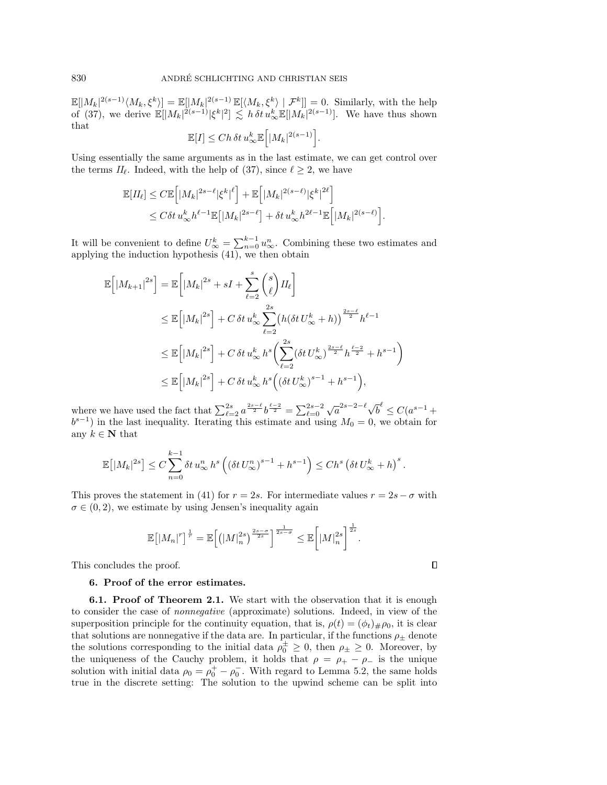$\mathbb{E}[|M_k|^{2(s-1)}\langle M_k,\xi^k\rangle] = \mathbb{E}[|M_k|^{2(s-1)}\mathbb{E}[\langle M_k,\xi^k\rangle | \mathcal{F}^k]] = 0.$  Similarly, with the help of [\(37\)](#page-14-7), we derive  $\mathbb{E}[|M_k|^{2(s-1)} | \xi^k|^2] \lesssim h \,\delta t \, u_{\infty}^k \mathbb{E}[|M_k|^{2(s-1)}]$ . We have thus shown that

$$
\mathbb{E}[I] \le Ch \,\delta t \, u_{\infty}^k \mathbb{E}\Big[ |M_k|^{2(s-1)}\Big].
$$

Using essentially the same arguments as in the last estimate, we can get control over the terms  $II_{\ell}$ . Indeed, with the help of [\(37\)](#page-14-7), since  $\ell \geq 2$ , we have

$$
\mathbb{E}[H_{\ell}] \leq C \mathbb{E}\Big[|M_k|^{2s-\ell}|\xi^k|^{\ell}\Big] + \mathbb{E}\Big[|M_k|^{2(s-\ell)}|\xi^k|^{2\ell}\Big] \leq C \delta t \, u_{\infty}^k h^{\ell-1} \mathbb{E}\big[|M_k|^{2s-\ell}\big] + \delta t \, u_{\infty}^k h^{2\ell-1} \mathbb{E}\Big[|M_k|^{2(s-\ell)}\Big].
$$

It will be convenient to define  $U_{\infty}^k = \sum_{n=0}^{k-1} u_{\infty}^n$ . Combining these two estimates and applying the induction hypothesis [\(41\)](#page-17-1), we then obtain

$$
\mathbb{E}\left[\left|M_{k+1}\right|^{2s}\right] = \mathbb{E}\left[\left|M_{k}\right|^{2s} + sI + \sum_{\ell=2}^{s} {s \choose \ell} II_{\ell}\right]
$$
\n
$$
\leq \mathbb{E}\left[\left|M_{k}\right|^{2s}\right] + C \delta t u_{\infty}^{k} \sum_{\ell=2}^{2s} \left(h(\delta t U_{\infty}^{k} + h)\right)^{\frac{2s-\ell}{2}} h^{\ell-1}
$$
\n
$$
\leq \mathbb{E}\left[\left|M_{k}\right|^{2s}\right] + C \delta t u_{\infty}^{k} h^{s} \left(\sum_{\ell=2}^{2s} (\delta t U_{\infty}^{k})^{\frac{2s-\ell}{2}} h^{\frac{\ell-2}{2}} + h^{s-1}\right)
$$
\n
$$
\leq \mathbb{E}\left[\left|M_{k}\right|^{2s}\right] + C \delta t u_{\infty}^{k} h^{s} \left((\delta t U_{\infty}^{k})^{s-1} + h^{s-1}\right),
$$

where we have used the fact that  $\sum_{\ell=2}^{2s} a^{\frac{2s-\ell}{2}} b^{\frac{\ell-2}{2}} = \sum_{\ell=0}^{2s-2}$  $\sqrt{a}^{2s-2-\ell}\sqrt{b}^{\ell} \leq C(a^{s-1} +$  $b^{s-1}$ ) in the last inequality. Iterating this estimate and using  $M_0 = 0$ , we obtain for any  $k\in\mathbf{N}$  that

$$
\mathbb{E}\left[|M_k|^{2s}\right] \leq C \sum_{n=0}^{k-1} \delta t \, u_\infty^n \, h^s \left( \left(\delta t \, U_\infty^n\right)^{s-1} + h^{s-1} \right) \leq Ch^s \left(\delta t \, U_\infty^k + h\right)^s.
$$

This proves the statement in [\(41\)](#page-17-1) for  $r = 2s$ . For intermediate values  $r = 2s - \sigma$  with  $\sigma \in (0, 2)$ , we estimate by using Jensen's inequality again

$$
\mathbb{E}\left[\left|M_n\right|^r\right]^{\frac{1}{r}}=\mathbb{E}\left[\left(\left|M\right|_n^{2s}\right)^{\frac{2s-\sigma}{2s}}\right]^{\frac{1}{2s-\sigma}}\leq \mathbb{E}\left[\left|M\right|_n^{2s}\right]^{\frac{1}{2s}}.
$$

 $\Box$ 

<span id="page-18-0"></span>This concludes the proof.

### 6. Proof of the error estimates.

**6.1. Proof of Theorem [2.1.](#page-4-3)** We start with the observation that it is enough to consider the case of nonnegative (approximate) solutions. Indeed, in view of the superposition principle for the continuity equation, that is,  $\rho(t) = (\phi_t)_{\#}\rho_0$ , it is clear that solutions are nonnegative if the data are. In particular, if the functions  $\rho_{\pm}$  denote the solutions corresponding to the initial data  $\rho_0^{\pm} \geq 0$ , then  $\rho_{\pm} \geq 0$ . Moreover, by the uniqueness of the Cauchy problem, it holds that  $\rho = \rho_+ - \rho_-$  is the unique solution with initial data  $\rho_0 = \rho_0^+ - \rho_0^-$ . With regard to Lemma [5.2,](#page-12-0) the same holds true in the discrete setting: The solution to the upwind scheme can be split into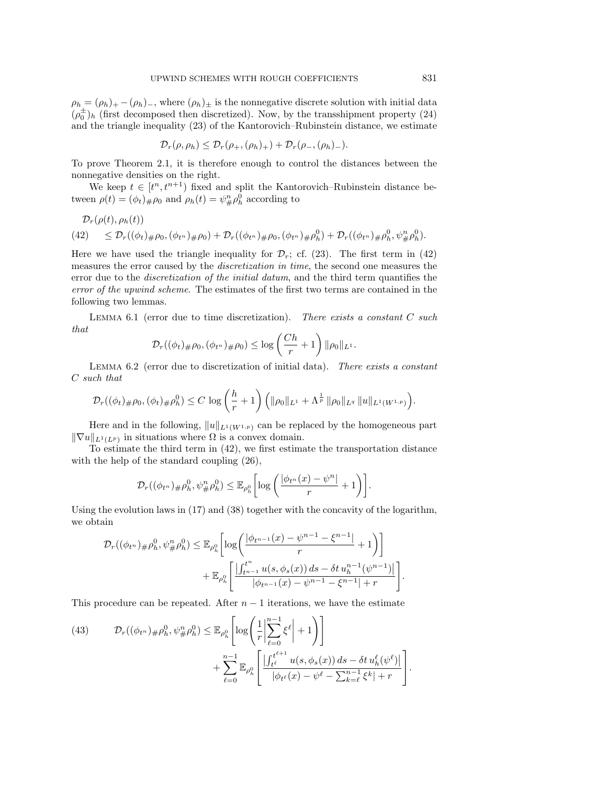$\rho_h = (\rho_h)_+ - (\rho_h)_-,$  where  $(\rho_h)_\pm$  is the nonnegative discrete solution with initial data  $(\rho_0^{\pm})_h$  (first decomposed then discretized). Now, by the transshipment property [\(24\)](#page-10-0) and the triangle inequality [\(23\)](#page-10-1) of the Kantorovich–Rubinstein distance, we estimate

$$
\mathcal{D}_r(\rho,\rho_h) \leq \mathcal{D}_r(\rho_+,( \rho_h)_+) + \mathcal{D}_r(\rho_-, (\rho_h)_-).
$$

To prove Theorem [2.1,](#page-4-3) it is therefore enough to control the distances between the nonnegative densities on the right.

We keep  $t \in [t^n, t^{n+1})$  fixed and split the Kantorovich–Rubinstein distance between  $\rho(t) = (\phi_t)_{\#} \rho_0$  and  $\rho_h(t) = \psi_{\#}^n \rho_h^0$  according to

$$
\mathcal{D}_r(\rho(t), \rho_h(t))
$$

<span id="page-19-1"></span>
$$
(42) \quad \leq \mathcal{D}_r((\phi_t)_{\#}\rho_0, (\phi_{t^n})_{\#}\rho_0) + \mathcal{D}_r((\phi_{t^n})_{\#}\rho_0, (\phi_{t^n})_{\#}\rho_h^0) + \mathcal{D}_r((\phi_{t^n})_{\#}\rho_h^0, \psi_{\#}^n\rho_h^0).
$$

Here we have used the triangle inequality for  $\mathcal{D}_r$ ; cf. [\(23\)](#page-10-1). The first term in [\(42\)](#page-19-1) measures the error caused by the *discretization in time*, the second one measures the error due to the *discretization of the initial datum*, and the third term quantifies the error of the upwind scheme. The estimates of the first two terms are contained in the following two lemmas.

<span id="page-19-0"></span>LEMMA 6.1 (error due to time discretization). There exists a constant  $C$  such that

$$
\mathcal{D}_r((\phi_t)_\#\rho_0, (\phi_{t^n})_\#\rho_0) \leq \log \left(\frac{Ch}{r} + 1\right) \|\rho_0\|_{L^1}.
$$

<span id="page-19-3"></span>LEMMA 6.2 (error due to discretization of initial data). There exists a constant C such that

$$
\mathcal{D}_r((\phi_t)_{\#}\rho_0,(\phi_t)_{\#}\rho_h^0)\leq C\,\log\left(\frac{h}{r}+1\right)\Big(\|\rho_0\|_{L^1}+\Lambda^{\frac{1}{p}}\,\|\rho_0\|_{L^q}\,\|u\|_{L^1(W^{1,p})}\Big).
$$

Here and in the following,  $||u||_{L^1(W^{1,p})}$  can be replaced by the homogeneous part  $\|\nabla u\|_{L^1(L^p)}$  in situations where  $\Omega$  is a convex domain.

To estimate the third term in [\(42\)](#page-19-1), we first estimate the transportation distance with the help of the standard coupling [\(26\)](#page-11-4),

$$
\mathcal{D}_r((\phi_{t^n})_{\#}\rho_h^0, \psi_{\#}^n\rho_h^0) \leq \mathbb{E}_{\rho_h^0} \bigg[ \log \bigg( \frac{|\phi_{t^n}(x) - \psi^n|}{r} + 1 \bigg) \bigg].
$$

Using the evolution laws in [\(17\)](#page-8-1) and [\(38\)](#page-16-0) together with the concavity of the logarithm, we obtain

$$
\mathcal{D}_{r}((\phi_{t^{n}})_{\#}\rho_{h}^{0}, \psi_{\#}^{n}\rho_{h}^{0}) \leq \mathbb{E}_{\rho_{h}^{0}}\bigg[\log\bigg(\frac{|\phi_{t^{n-1}}(x) - \psi^{n-1} - \xi^{n-1}|}{r} + 1\bigg)\bigg] + \mathbb{E}_{\rho_{h}^{0}}\bigg[\frac{\left|\int_{t^{n-1}}^{t^{n}} u(s, \phi_{s}(x)) ds - \delta t u_{h}^{n-1}(\psi^{n-1})\right|}{|\phi_{t^{n-1}}(x) - \psi^{n-1} - \xi^{n-1}| + r}\bigg]
$$

This procedure can be repeated. After  $n-1$  iterations, we have the estimate

<span id="page-19-2"></span>(43) 
$$
\mathcal{D}_{r}((\phi_{t^{n}})_{\#}\rho_{h}^{0}, \psi_{\#}^{n}\rho_{h}^{0}) \leq \mathbb{E}_{\rho_{h}^{0}}\left[\log\left(\frac{1}{r}\left|\sum_{\ell=0}^{n-1} \xi^{\ell}\right| + 1\right)\right] + \sum_{\ell=0}^{n-1} \mathbb{E}_{\rho_{h}^{0}}\left[\frac{\left|\int_{t^{\ell}}^{t^{\ell+1}} u(s, \phi_{s}(x)) ds - \delta t u_{h}^{\ell}(\psi^{\ell})\right|}{|\phi_{t^{\ell}}(x) - \psi^{\ell} - \sum_{k=\ell}^{n-1} \xi^{k}| + r}\right].
$$

.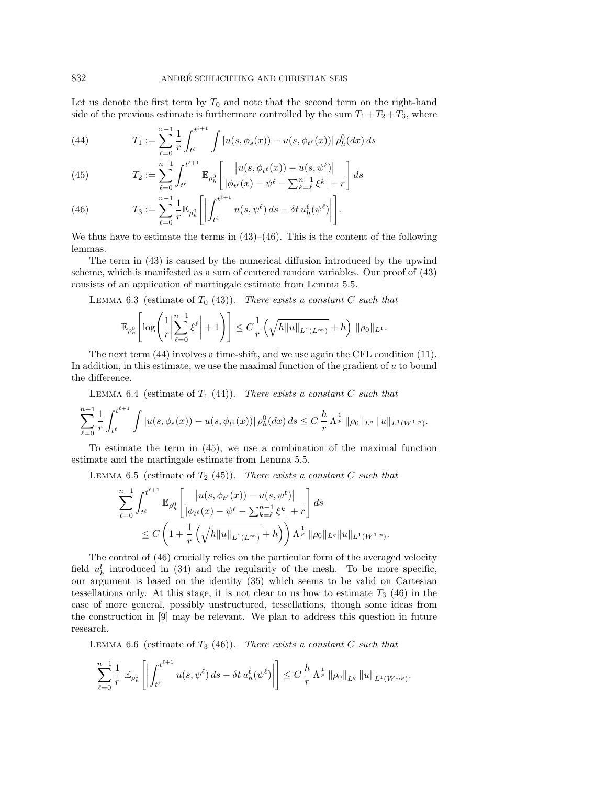Let us denote the first term by  $T_0$  and note that the second term on the right-hand side of the previous estimate is furthermore controlled by the sum  $T_1 + T_2 + T_3$ , where

<span id="page-20-2"></span>(44) 
$$
T_1 := \sum_{\ell=0}^{n-1} \frac{1}{r} \int_{t^{\ell}}^{t^{\ell+1}} \int |u(s, \phi_s(x)) - u(s, \phi_{t^{\ell}}(x))| \rho_h^0(dx) ds
$$

<span id="page-20-3"></span>(45) 
$$
T_2 := \sum_{\ell=0}^{n-1} \int_{t^{\ell}}^{t^{\ell+1}} \mathbb{E}_{\rho_h^0} \left[ \frac{|u(s, \phi_{t^{\ell}}(x)) - u(s, \psi^{\ell})|}{|\phi_{t^{\ell}}(x) - \psi^{\ell} - \sum_{k=\ell}^{n-1} \xi^k| + r} \right] ds
$$

<span id="page-20-1"></span>(46) 
$$
T_3 := \sum_{\ell=0}^{n-1} \frac{1}{r} \mathbb{E}_{\rho_h^0} \left[ \left| \int_{t^{\ell}}^{t^{\ell+1}} u(s, \psi^{\ell}) ds - \delta t u_h^{\ell}(\psi^{\ell}) \right| \right].
$$

We thus have to estimate the terms in  $(43)$ – $(46)$ . This is the content of the following lemmas.

The term in [\(43\)](#page-19-2) is caused by the numerical diffusion introduced by the upwind scheme, which is manifested as a sum of centered random variables. Our proof of [\(43\)](#page-19-2) consists of an application of martingale estimate from Lemma [5.5.](#page-16-1)

<span id="page-20-5"></span>LEMMA 6.3 (estimate of  $T_0$  [\(43\)](#page-19-2)). There exists a constant C such that

$$
\mathbb{E}_{\rho_h^0}\!\left[\log\!\left(\frac{1}{r}\middle|\sum_{\ell=0}^{n-1} \xi^\ell\right|+1\right)\right] \leq C \frac{1}{r} \left(\sqrt{h\|u\|_{L^1(L^\infty)}}+h\right) \, \|\rho_0\|_{L^1}.
$$

The next term [\(44\)](#page-20-2) involves a time-shift, and we use again the CFL condition [\(11\)](#page-4-0). In addition, in this estimate, we use the maximal function of the gradient of  $u$  to bound the difference.

<span id="page-20-6"></span>LEMMA 6.4 (estimate of  $T_1$  [\(44\)](#page-20-2)). There exists a constant C such that

$$
\sum_{\ell=0}^{n-1} \frac{1}{r} \int_{t^{\ell}}^{t^{\ell+1}} \int |u(s, \phi_s(x)) - u(s, \phi_{t^{\ell}}(x))| \, \rho_h^0(dx) \, ds \leq C \frac{h}{r} \Lambda^{\frac{1}{p}} \|\rho_0\|_{L^q} \|u\|_{L^1(W^{1,p})}.
$$

To estimate the term in [\(45\)](#page-20-3), we use a combination of the maximal function estimate and the martingale estimate from Lemma [5.5.](#page-16-1)

<span id="page-20-0"></span>LEMMA 6.5 (estimate of  $T_2$  [\(45\)](#page-20-3)). There exists a constant C such that

$$
\sum_{\ell=0}^{n-1} \int_{t^{\ell}}^{t^{\ell+1}} \mathbb{E}_{\rho_h^0} \left[ \frac{|u(s, \phi_{t^{\ell}}(x)) - u(s, \psi^{\ell})|}{|\phi_{t^{\ell}}(x) - \psi^{\ell} - \sum_{k=\ell}^{n-1} \xi^k| + r} \right] ds
$$
  
 
$$
\leq C \left( 1 + \frac{1}{r} \left( \sqrt{h \|u\|_{L^1(L^{\infty})}} + h \right) \right) \Lambda^{\frac{1}{p}} \| \rho_0 \|_{L^q} \|u\|_{L^1(W^{1,p})}.
$$

The control of [\(46\)](#page-20-1) crucially relies on the particular form of the averaged velocity field  $u_h^l$  introduced in [\(34\)](#page-14-6) and the regularity of the mesh. To be more specific, our argument is based on the identity [\(35\)](#page-14-1) which seems to be valid on Cartesian tessellations only. At this stage, it is not clear to us how to estimate  $T_3$  [\(46\)](#page-20-1) in the case of more general, possibly unstructured, tessellations, though some ideas from the construction in [\[9\]](#page-28-5) may be relevant. We plan to address this question in future research.

<span id="page-20-4"></span>LEMMA 6.6 (estimate of  $T_3$  [\(46\)](#page-20-1)). There exists a constant C such that

$$
\sum_{\ell=0}^{n-1} \frac{1}{r} \mathbb{E}_{\rho_h^0} \left[ \left| \int_{t^{\ell}}^{t^{\ell+1}} u(s, \psi^{\ell}) ds - \delta t u_h^{\ell}(\psi^{\ell}) \right| \right] \leq C \frac{h}{r} \Lambda^{\frac{1}{p}} \|\rho_0\|_{L^q} \|u\|_{L^1(W^{1,p})}.
$$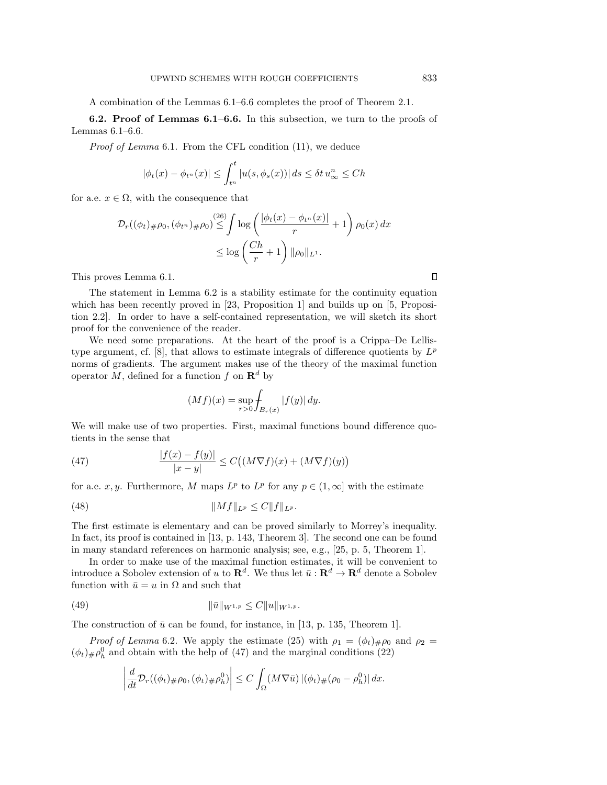A combination of the Lemmas [6.1](#page-19-0)[–6.6](#page-20-4) completes the proof of Theorem [2.1.](#page-4-3)

6.2. Proof of Lemmas [6.1–](#page-19-0)[6.6.](#page-20-4) In this subsection, we turn to the proofs of Lemmas [6.1](#page-19-0)[–6.6.](#page-20-4)

Proof of Lemma [6.1](#page-19-0). From the CFL condition [\(11\)](#page-4-0), we deduce

$$
|\phi_t(x) - \phi_{t^n}(x)| \le \int_{t^n}^t |u(s, \phi_s(x))| ds \le \delta t u_\infty^n \le Ch
$$

for a.e.  $x \in \Omega$ , with the consequence that

$$
\mathcal{D}_r((\phi_t)_\#\rho_0, (\phi_{t^n})_\#\rho_0) \stackrel{(26)}{\leq} \int \log \left( \frac{|\phi_t(x) - \phi_{t^n}(x)|}{r} + 1 \right) \rho_0(x) dx
$$
  

$$
\leq \log \left( \frac{Ch}{r} + 1 \right) \|\rho_0\|_{L^1}.
$$

This proves Lemma [6.1.](#page-19-0)

The statement in Lemma [6.2](#page-19-3) is a stability estimate for the continuity equation which has been recently proved in [\[23,](#page-28-2) Proposition 1] and builds up on [\[5,](#page-27-8) Proposition 2.2]. In order to have a self-contained representation, we will sketch its short proof for the convenience of the reader.

We need some preparations. At the heart of the proof is a Crippa–De Lellis-type argument, cf. [\[8\]](#page-27-2), that allows to estimate integrals of difference quotients by  $L^p$ norms of gradients. The argument makes use of the theory of the maximal function operator M, defined for a function f on  $\mathbb{R}^d$  by

<span id="page-21-1"></span><span id="page-21-0"></span>
$$
(Mf)(x) = \sup_{r>0} \int_{B_r(x)} |f(y)| \, dy.
$$

We will make use of two properties. First, maximal functions bound difference quotients in the sense that

(47) 
$$
\frac{|f(x) - f(y)|}{|x - y|} \leq C\big((M\nabla f)(x) + (M\nabla f)(y)\big)
$$

for a.e. x, y. Furthermore, M maps  $L^p$  to  $L^p$  for any  $p \in (1,\infty]$  with the estimate

(48) 
$$
||Mf||_{L^p} \leq C||f||_{L^p}.
$$

The first estimate is elementary and can be proved similarly to Morrey's inequality. In fact, its proof is contained in [\[13,](#page-28-9) p. 143, Theorem 3]. The second one can be found in many standard references on harmonic analysis; see, e.g., [\[25,](#page-28-20) p. 5, Theorem 1].

In order to make use of the maximal function estimates, it will be convenient to introduce a Sobolev extension of u to  $\mathbb{R}^d$ . We thus let  $\bar{u}: \mathbb{R}^d \to \mathbb{R}^d$  denote a Sobolev function with  $\bar{u} = u$  in  $\Omega$  and such that

(49) 
$$
\|\bar{u}\|_{W^{1,p}} \leq C \|u\|_{W^{1,p}}.
$$

The construction of  $\bar{u}$  can be found, for instance, in [\[13,](#page-28-9) p. 135, Theorem 1].

*Proof of Lemma* [6.2](#page-19-3). We apply the estimate [\(25\)](#page-11-2) with  $\rho_1 = (\phi_t)_{\#} \rho_0$  and  $\rho_2 =$  $(\phi_t)_{\#}\rho_h^0$  and obtain with the help of [\(47\)](#page-21-0) and the marginal conditions [\(22\)](#page-9-3)

<span id="page-21-2"></span>
$$
\left|\frac{d}{dt}\mathcal{D}_r((\phi_t)_\#\rho_0, (\phi_t)_\#\rho_h^0)\right| \leq C \int_{\Omega} (M\nabla\bar{u}) \left|(\phi_t)_\#(\rho_0 - \rho_h^0)\right| dx.
$$

 $\Box$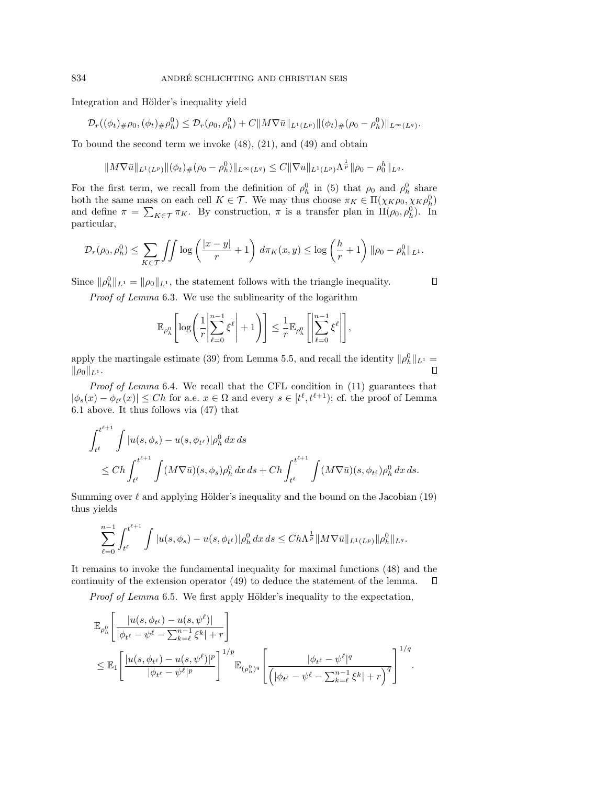Integration and Hölder's inequality yield

$$
\mathcal{D}_r((\phi_t)_\#\rho_0, (\phi_t)_\#\rho^0_h) \leq \mathcal{D}_r(\rho_0, \rho^0_h) + C \|M\nabla\bar{u}\|_{L^1(L^p)} \|(\phi_t)_\#(\rho_0 - \rho^0_h)\|_{L^\infty(L^q)}.
$$

To bound the second term we invoke [\(48\)](#page-21-1), [\(21\)](#page-9-4), and [\(49\)](#page-21-2) and obtain

$$
||M\nabla\bar{u}||_{L^1(L^p)}||(\phi_t)_\#(\rho_0-\rho_h^0)||_{L^\infty(L^q)}\leq C||\nabla u||_{L^1(L^p)}\Lambda^{\frac{1}{p}}||\rho_0-\rho_0^h||_{L^q}.
$$

For the first term, we recall from the definition of  $\rho_h^0$  in [\(5\)](#page-3-3) that  $\rho_0$  and  $\rho_h^0$  share both the same mass on each cell  $K \in \mathcal{T}$ . We may thus choose  $\pi_K \in \Pi(\chi_K \rho_0, \chi_K \rho_h^0)$ and define  $\pi = \sum_{K \in \mathcal{T}} \pi_K$ . By construction,  $\pi$  is a transfer plan in  $\Pi(\rho_0, \rho_h^0)$ . In particular,

$$
\mathcal{D}_r(\rho_0, \rho_h^0) \le \sum_{K \in \mathcal{T}} \int \int \log \left( \frac{|x - y|}{r} + 1 \right) d\pi_K(x, y) \le \log \left( \frac{h}{r} + 1 \right) \|\rho_0 - \rho_h^0\|_{L^1}.
$$

Since  $\|\rho_h^0\|_{L^1} = \|\rho_0\|_{L^1}$ , the statement follows with the triangle inequality.

Proof of Lemma [6.3](#page-20-5). We use the sublinearity of the logarithm

$$
\mathbb{E}_{\rho_h^0}\Biggl[\log\Biggl(\frac{1}{r}\Biggl|\sum_{\ell=0}^{n-1}\xi^\ell\Biggr|+1\Biggr)\Biggr] \leq \frac{1}{r}\mathbb{E}_{\rho_h^0}\Biggl[\Biggl|\sum_{\ell=0}^{n-1}\xi^\ell\Biggr|\Biggr],
$$

apply the martingale estimate [\(39\)](#page-16-2) from Lemma [5.5,](#page-16-1) and recall the identity  $\|\rho_h^0\|_{L^1} =$  $\|\rho_0\|_{L^1}.$  $\Box$ 

Proof of Lemma [6.4](#page-20-6). We recall that the CFL condition in [\(11\)](#page-4-0) guarantees that  $|\phi_s(x) - \phi_{t^{\ell}}(x)| \leq Ch$  for a.e.  $x \in \Omega$  and every  $s \in [t^{\ell}, t^{\ell+1})$ ; cf. the proof of Lemma [6.1](#page-19-0) above. It thus follows via [\(47\)](#page-21-0) that

$$
\int_{t^{\ell}}^{t^{\ell+1}} \int |u(s, \phi_s) - u(s, \phi_{t^{\ell}})| \rho_h^0 dx ds
$$
  
\n
$$
\leq Ch \int_{t^{\ell}}^{t^{\ell+1}} \int (M \nabla \bar{u})(s, \phi_s) \rho_h^0 dx ds + Ch \int_{t^{\ell}}^{t^{\ell+1}} \int (M \nabla \bar{u})(s, \phi_{t^{\ell}}) \rho_h^0 dx ds.
$$

Summing over  $\ell$  and applying Hölder's inequality and the bound on the Jacobian [\(19\)](#page-9-2) thus yields

$$
\sum_{\ell=0}^{n-1} \int_{t^{\ell}}^{t^{\ell+1}} \int |u(s,\phi_s) - u(s,\phi_{t^{\ell}})| \rho_h^0 \, dx \, ds \leq Ch\Lambda^{\frac{1}{p}} \|M\nabla \bar{u}\|_{L^1(L^p)} \|\rho_h^0\|_{L^q}.
$$

It remains to invoke the fundamental inequality for maximal functions [\(48\)](#page-21-1) and the continuity of the extension operator [\(49\)](#page-21-2) to deduce the statement of the lemma.  $\Box$ 

Proof of Lemma [6.5](#page-20-0). We first apply Hölder's inequality to the expectation,

$$
\mathbb{E}_{\rho_h^0} \left[ \frac{|u(s, \phi_{t^{\ell}}) - u(s, \psi^{\ell})|}{|\phi_{t^{\ell}} - \psi^{\ell} - \sum_{k=\ell}^{n-1} \xi^k| + r} \right] \n\leq \mathbb{E}_1 \left[ \frac{|u(s, \phi_{t^{\ell}}) - u(s, \psi^{\ell})|^p}{|\phi_{t^{\ell}} - \psi^{\ell}|^p} \right]^{1/p} \mathbb{E}_{(\rho_h^0)^q} \left[ \frac{|\phi_{t^{\ell}} - \psi^{\ell}|^q}{\left( |\phi_{t^{\ell}} - \psi^{\ell} - \sum_{k=\ell}^{n-1} \xi^k| + r \right)^q} \right]^{1/q}.
$$

 $\Box$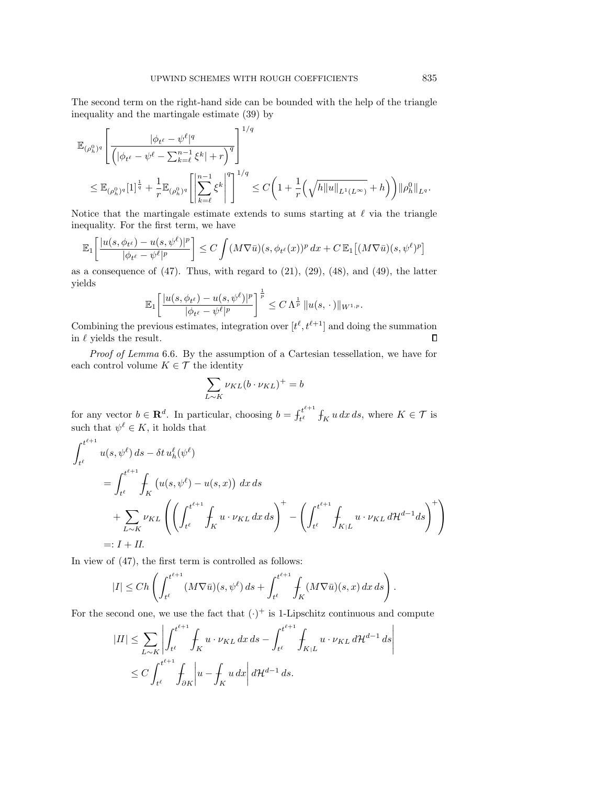The second term on the right-hand side can be bounded with the help of the triangle inequality and the martingale estimate [\(39\)](#page-16-2) by

$$
\mathbb{E}_{(\rho_h^0)^q} \Bigg[ \frac{|\phi_{t^{\ell}} - \psi^{\ell}|^q}{\Big(|\phi_{t^{\ell}} - \psi^{\ell} - \sum_{k=\ell}^{n-1} \xi^k| + r \Big)^q} \Bigg]^{1/q} \leq \mathbb{E}_{(\rho_h^0)^q} [1]^{\frac{1}{q}} + \frac{1}{r} \mathbb{E}_{(\rho_h^0)^q} \Bigg[ \Bigg| \sum_{k=\ell}^{n-1} \xi^k \Bigg|^q \Bigg]^{1/q} \leq C \Big( 1 + \frac{1}{r} \Big( \sqrt{h \|u\|_{L^1(L^\infty)}} + h \Big) \Big) \|\rho_h^0\|_{L^q}.
$$

Notice that the martingale estimate extends to sums starting at  $\ell$  via the triangle inequality. For the first term, we have

$$
\mathbb{E}_1\bigg[\frac{|u(s,\phi_{t^{\ell}})-u(s,\psi^{\ell})|^p}{|\phi_{t^{\ell}}-\psi^{\ell}|^p}\bigg] \leq C \int (M\nabla\bar{u})(s,\phi_{t^{\ell}}(x))^p dx + C \mathbb{E}_1\big[(M\nabla\bar{u})(s,\psi^{\ell})^p\big]
$$

as a consequence of  $(47)$ . Thus, with regard to  $(21)$ ,  $(29)$ ,  $(48)$ , and  $(49)$ , the latter yields

$$
\mathbb{E}_1\bigg[\frac{|u(s,\phi_{t^{\ell}})-u(s,\psi^{\ell})|^p}{|\phi_{t^{\ell}}-\psi^{\ell}|^p}\bigg]^\frac{1}{p}\leq C\,\Lambda^{\frac{1}{p}}\,\|u(s,\,\cdot\,)\|_{W^{1,p}}.
$$

Combining the previous estimates, integration over  $[t^{\ell}, t^{\ell+1}]$  and doing the summation in  $\ell$  yields the result.  $\Box$ 

Proof of Lemma [6.6](#page-20-4). By the assumption of a Cartesian tessellation, we have for each control volume  $K \in \mathcal{T}$  the identity

$$
\sum_{L \sim K} \nu_{KL}(b \cdot \nu_{KL})^{+} = b
$$

for any vector  $b \in \mathbf{R}^d$ . In particular, choosing  $b = \int_{t\ell}^{t^{\ell+1}}$  $t_t^{t+1}$   $\int_K u \, dx \, ds$ , where  $K \in \mathcal{T}$  is such that  $\psi^{\ell} \in K$ , it holds that

$$
\int_{t^{\ell}}^{t^{\ell+1}} u(s, \psi^{\ell}) ds - \delta t u_h^{\ell}(\psi^{\ell})
$$
\n
$$
= \int_{t^{\ell}}^{t^{\ell+1}} \int_K (u(s, \psi^{\ell}) - u(s, x)) dx ds
$$
\n
$$
+ \sum_{L \sim K} \nu_{KL} \left( \left( \int_{t^{\ell}}^{t^{\ell+1}} \int_K u \cdot \nu_{KL} dx ds \right)^{+} - \left( \int_{t^{\ell}}^{t^{\ell+1}} \int_{K/L} u \cdot \nu_{KL} d\mathcal{H}^{d-1} ds \right)^{+} \right)
$$
\n
$$
=: I + II.
$$

In view of [\(47\)](#page-21-0), the first term is controlled as follows:

$$
|I| \le Ch\left(\int_{t^{\ell}}^{t^{\ell+1}} (M\nabla\bar{u})(s,\psi^{\ell})\,ds + \int_{t^{\ell}}^{t^{\ell+1}} \int_{K} (M\nabla\bar{u})(s,x)\,dx\,ds\right).
$$

For the second one, we use the fact that  $(\cdot)^+$  is 1-Lipschitz continuous and compute

$$
|II| \leq \sum_{L \sim K} \left| \int_{t^{\ell}}^{t^{\ell+1}} \int_{K} u \cdot \nu_{KL} \, dx \, ds - \int_{t^{\ell}}^{t^{\ell+1}} \int_{K|L} u \cdot \nu_{KL} \, d\mathcal{H}^{d-1} \, ds \right|
$$
  

$$
\leq C \int_{t^{\ell}}^{t^{\ell+1}} \int_{\partial K} \left| u - \int_{K} u \, dx \right| d\mathcal{H}^{d-1} \, ds.
$$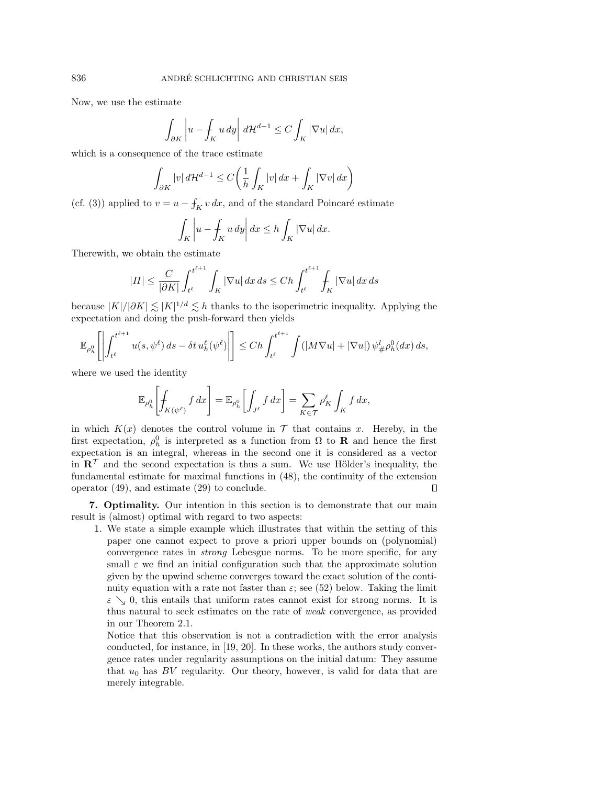Now, we use the estimate

$$
\int_{\partial K} \left| u - \int_K u \, dy \right| d\mathcal{H}^{d-1} \le C \int_K |\nabla u| \, dx,
$$

which is a consequence of the trace estimate

$$
\int_{\partial K} |v| d\mathcal{H}^{d-1} \le C \bigg( \frac{1}{h} \int_K |v| dx + \int_K |\nabla v| dx \bigg)
$$

(cf. [\(3\)](#page-2-0)) applied to  $v = u - f_K v dx$ , and of the standard Poincaré estimate

$$
\int_{K} \left| u - \int_{K} u \, dy \right| dx \le h \int_{K} |\nabla u| dx.
$$

Therewith, we obtain the estimate

$$
|II| \leq \frac{C}{|\partial K|} \int_{t^\ell}^{t^{\ell+1}} \int_K |\nabla u| \, dx \, ds \leq Ch \int_{t^\ell}^{t^{\ell+1}} \int_K |\nabla u| \, dx \, ds
$$

because  $|K|/|\partial K| \leq |K|^{1/d} \leq h$  thanks to the isoperimetric inequality. Applying the expectation and doing the push-forward then yields

$$
\mathbb{E}_{\rho_h^0}\left[\left|\int_{t^\ell}^{t^{\ell+1}} u(s,\psi^\ell)\,ds - \delta t\,u_h^\ell(\psi^\ell)\right|\right] \le Ch\int_{t^\ell}^{t^{\ell+1}} \int (|M\nabla u| + |\nabla u|)\,\psi_\#^l \rho_h^0(dx)\,ds,
$$

where we used the identity

$$
\mathbb{E}_{\rho_h^0}\left[\int_{K(\psi^\ell)} f\,dx\right] = \mathbb{E}_{\rho_h^0}\left[\int_{J^\ell} f\,dx\right] = \sum_{K\in\mathcal{T}} \rho_K^\ell \int_K f\,dx,
$$

in which  $K(x)$  denotes the control volume in  $\mathcal T$  that contains x. Hereby, in the first expectation,  $\rho_h^0$  is interpreted as a function from  $\Omega$  to **R** and hence the first expectation is an integral, whereas in the second one it is considered as a vector in  $\mathbb{R}^{\mathcal{T}}$  and the second expectation is thus a sum. We use Hölder's inequality, the fundamental estimate for maximal functions in [\(48\)](#page-21-1), the continuity of the extension operator [\(49\)](#page-21-2), and estimate [\(29\)](#page-12-2) to conclude.  $\Box$ 

<span id="page-24-0"></span>7. Optimality. Our intention in this section is to demonstrate that our main result is (almost) optimal with regard to two aspects:

1. We state a simple example which illustrates that within the setting of this paper one cannot expect to prove a priori upper bounds on (polynomial) convergence rates in strong Lebesgue norms. To be more specific, for any small  $\varepsilon$  we find an initial configuration such that the approximate solution given by the upwind scheme converges toward the exact solution of the continuity equation with a rate not faster than  $\varepsilon$ ; see [\(52\)](#page-26-0) below. Taking the limit  $\varepsilon \searrow 0$ , this entails that uniform rates cannot exist for strong norms. It is thus natural to seek estimates on the rate of weak convergence, as provided in our Theorem [2.1.](#page-4-3)

Notice that this observation is not a contradiction with the error analysis conducted, for instance, in [\[19,](#page-28-15) [20\]](#page-28-14). In these works, the authors study convergence rates under regularity assumptions on the initial datum: They assume that  $u_0$  has BV regularity. Our theory, however, is valid for data that are merely integrable.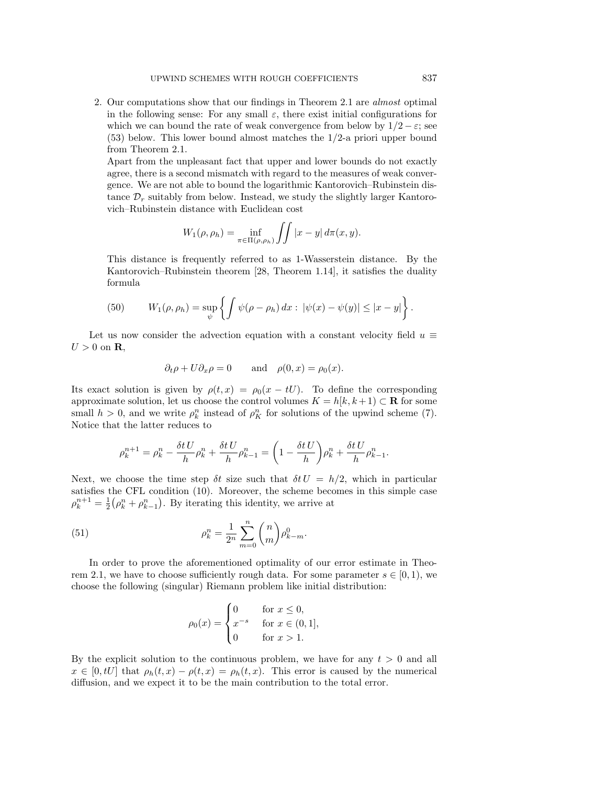2. Our computations show that our findings in Theorem [2.1](#page-4-3) are almost optimal in the following sense: For any small  $\varepsilon$ , there exist initial configurations for which we can bound the rate of weak convergence from below by  $1/2 - \varepsilon$ ; see [\(53\)](#page-27-9) below. This lower bound almost matches the 1/2-a priori upper bound from Theorem [2.1.](#page-4-3)

Apart from the unpleasant fact that upper and lower bounds do not exactly agree, there is a second mismatch with regard to the measures of weak convergence. We are not able to bound the logarithmic Kantorovich–Rubinstein distance  $\mathcal{D}_r$  suitably from below. Instead, we study the slightly larger Kantorovich–Rubinstein distance with Euclidean cost

$$
W_1(\rho,\rho_h)=\inf_{\pi\in\Pi(\rho,\rho_h)}\iint |x-y|\,d\pi(x,y).
$$

This distance is frequently referred to as 1-Wasserstein distance. By the Kantorovich–Rubinstein theorem [\[28,](#page-28-17) Theorem 1.14], it satisfies the duality formula

<span id="page-25-1"></span>(50) 
$$
W_1(\rho, \rho_h) = \sup_{\psi} \left\{ \int \psi(\rho - \rho_h) \, dx : \, |\psi(x) - \psi(y)| \leq |x - y| \right\}.
$$

Let us now consider the advection equation with a constant velocity field  $u \equiv$  $U > 0$  on **R**,

$$
\partial_t \rho + U \partial_x \rho = 0
$$
 and  $\rho(0, x) = \rho_0(x)$ .

Its exact solution is given by  $\rho(t, x) = \rho_0(x - tU)$ . To define the corresponding approximate solution, let us choose the control volumes  $K = h[k, k+1] \subset \mathbf{R}$  for some small  $h > 0$ , and we write  $\rho_k^n$  instead of  $\rho_K^n$  for solutions of the upwind scheme [\(7\)](#page-3-1). Notice that the latter reduces to

$$
\rho_k^{n+1} = \rho_k^n - \frac{\delta t U}{h} \rho_k^n + \frac{\delta t U}{h} \rho_{k-1}^n = \left(1 - \frac{\delta t U}{h}\right) \rho_k^n + \frac{\delta t U}{h} \rho_{k-1}^n.
$$

Next, we choose the time step  $\delta t$  size such that  $\delta t U = h/2$ , which in particular satisfies the CFL condition [\(10\)](#page-3-0). Moreover, the scheme becomes in this simple case  $\rho_k^{n+1} = \frac{1}{2} (\rho_k^n + \rho_{k-1}^n)$ . By iterating this identity, we arrive at

(51) 
$$
\rho_k^n = \frac{1}{2^n} \sum_{m=0}^n \binom{n}{m} \rho_{k-m}^0.
$$

In order to prove the aforementioned optimality of our error estimate in Theo-rem [2.1,](#page-4-3) we have to choose sufficiently rough data. For some parameter  $s \in [0, 1)$ , we choose the following (singular) Riemann problem like initial distribution:

<span id="page-25-0"></span>
$$
\rho_0(x) = \begin{cases} 0 & \text{for } x \le 0, \\ x^{-s} & \text{for } x \in (0, 1], \\ 0 & \text{for } x > 1. \end{cases}
$$

By the explicit solution to the continuous problem, we have for any  $t > 0$  and all  $x \in [0, tU]$  that  $\rho_h(t, x) - \rho(t, x) = \rho_h(t, x)$ . This error is caused by the numerical diffusion, and we expect it to be the main contribution to the total error.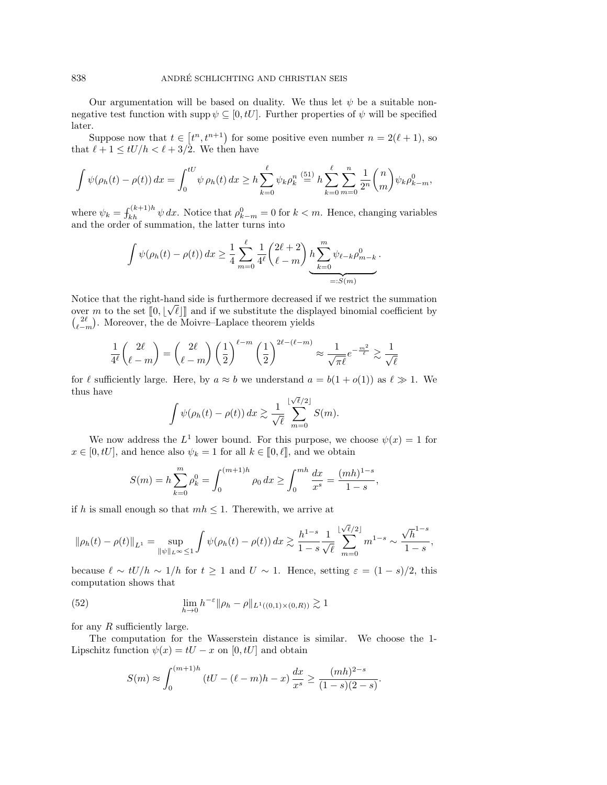Our argumentation will be based on duality. We thus let  $\psi$  be a suitable nonnegative test function with supp  $\psi \subseteq [0, tU]$ . Further properties of  $\psi$  will be specified later.

Suppose now that  $t \in [t^n, t^{n+1})$  for some positive even number  $n = 2(\ell + 1)$ , so that  $\ell + 1 \leq tU/h < \ell + 3/2$ . We then have

$$
\int \psi(\rho_h(t) - \rho(t)) dx = \int_0^{tU} \psi \, \rho_h(t) dx \ge h \sum_{k=0}^{\ell} \psi_k \rho_k^n \stackrel{(51)}{=} h \sum_{k=0}^{\ell} \sum_{m=0}^n \frac{1}{2^n} {n \choose m} \psi_k \rho_{k-m}^0,
$$

where  $\psi_k = \int_{kh}^{(k+1)h} \psi \, dx$ . Notice that  $\rho_{k-m}^0 = 0$  for  $k < m$ . Hence, changing variables and the order of summation, the latter turns into

$$
\int \psi(\rho_h(t) - \rho(t)) dx \ge \frac{1}{4} \sum_{m=0}^{\ell} \frac{1}{4^{\ell}} {2\ell + 2 \choose \ell - m} h \sum_{k=0}^{m} \psi_{\ell - k} \rho_{m-k}^0.
$$
  
=:S(m)

Notice that the right-hand side is furthermore decreased if we restrict the summation over m to the set  $[0, \lfloor \sqrt{\ell} \rfloor]$  and if we substitute the displayed binomial coefficient by  $\binom{2\ell}{\ell-m}$ . Moreover, the de Moivre–Laplace theorem yields

$$
\frac{1}{4^{\ell}} \binom{2\ell}{\ell-m} = \binom{2\ell}{\ell-m} \left(\frac{1}{2}\right)^{\ell-m} \left(\frac{1}{2}\right)^{2\ell-(\ell-m)} \approx \frac{1}{\sqrt{\pi \ell}} e^{-\frac{m^2}{\ell}} \gtrsim \frac{1}{\sqrt{\ell}}
$$

for  $\ell$  sufficiently large. Here, by  $a \approx b$  we understand  $a = b(1 + o(1))$  as  $\ell \gg 1$ . We thus have √

$$
\int \psi(\rho_h(t) - \rho(t)) dx \gtrsim \frac{1}{\sqrt{\ell}} \sum_{m=0}^{\lfloor \sqrt{\ell}/2 \rfloor} S(m).
$$

We now address the  $L^1$  lower bound. For this purpose, we choose  $\psi(x) = 1$  for  $x \in [0, tU]$ , and hence also  $\psi_k = 1$  for all  $k \in [0, \ell],$  and we obtain

$$
S(m) = h \sum_{k=0}^{m} \rho_k^0 = \int_0^{(m+1)h} \rho_0 dx \ge \int_0^{mh} \frac{dx}{x^s} = \frac{(mh)^{1-s}}{1-s},
$$

if h is small enough so that  $mh \leq 1$ . Therewith, we arrive at

$$
\|\rho_h(t) - \rho(t)\|_{L^1} = \sup_{\|\psi\|_{L^\infty} \le 1} \int \psi(\rho_h(t) - \rho(t)) \, dx \gtrsim \frac{h^{1-s}}{1-s} \frac{1}{\sqrt{\ell}} \sum_{m=0}^{\lfloor \sqrt{\ell}/2 \rfloor} m^{1-s} \sim \frac{\sqrt{h}^{1-s}}{1-s},
$$

because  $\ell \sim tU/h \sim 1/h$  for  $t \ge 1$  and  $U \sim 1$ . Hence, setting  $\varepsilon = (1 - s)/2$ , this computation shows that

(52) 
$$
\lim_{h \to 0} h^{-\varepsilon} \|\rho_h - \rho\|_{L^1((0,1) \times (0,R))} \gtrsim 1
$$

for any  $R$  sufficiently large.

The computation for the Wasserstein distance is similar. We choose the 1- Lipschitz function  $\psi(x) = tU - x$  on [0, tU] and obtain

<span id="page-26-0"></span>
$$
S(m) \approx \int_0^{(m+1)h} (tU - (\ell - m)h - x) \frac{dx}{x^s} \ge \frac{(mh)^{2-s}}{(1-s)(2-s)}.
$$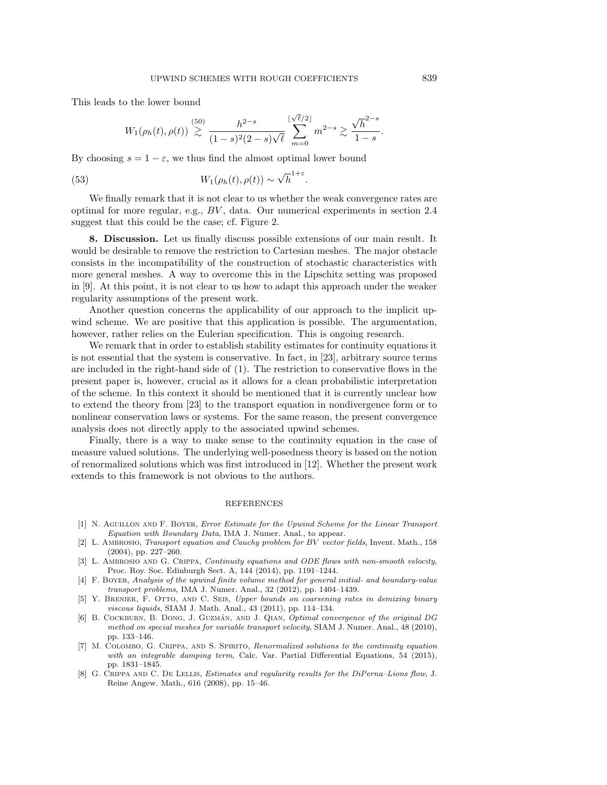This leads to the lower bound

<span id="page-27-9"></span>
$$
W_1(\rho_h(t), \rho(t)) \stackrel{(50)}{\gtrsim} \frac{h^{2-s}}{(1-s)^2(2-s)\sqrt{\ell}} \sum_{m=0}^{\lfloor \sqrt{\ell}/2 \rfloor} m^{2-s} \gtrsim \frac{\sqrt{h}^{2-s}}{1-s}.
$$

By choosing  $s = 1 - \varepsilon$ , we thus find the almost optimal lower bound

(53) 
$$
W_1(\rho_h(t), \rho(t)) \sim \sqrt{h}^{1+\varepsilon}.
$$

We finally remark that it is not clear to us whether the weak convergence rates are optimal for more regular, e.g., BV , data. Our numerical experiments in section [2.4](#page-6-0) suggest that this could be the case; cf. Figure [2.](#page-7-1)

<span id="page-27-0"></span>8. Discussion. Let us finally discuss possible extensions of our main result. It would be desirable to remove the restriction to Cartesian meshes. The major obstacle consists in the incompatibility of the construction of stochastic characteristics with more general meshes. A way to overcome this in the Lipschitz setting was proposed in [\[9\]](#page-28-5). At this point, it is not clear to us how to adapt this approach under the weaker regularity assumptions of the present work.

Another question concerns the applicability of our approach to the implicit upwind scheme. We are positive that this application is possible. The argumentation, however, rather relies on the Eulerian specification. This is ongoing research.

We remark that in order to establish stability estimates for continuity equations it is not essential that the system is conservative. In fact, in [\[23\]](#page-28-2), arbitrary source terms are included in the right-hand side of [\(1\)](#page-1-1). The restriction to conservative flows in the present paper is, however, crucial as it allows for a clean probabilistic interpretation of the scheme. In this context it should be mentioned that it is currently unclear how to extend the theory from [\[23\]](#page-28-2) to the transport equation in nondivergence form or to nonlinear conservation laws or systems. For the same reason, the present convergence analysis does not directly apply to the associated upwind schemes.

Finally, there is a way to make sense to the continuity equation in the case of measure valued solutions. The underlying well-posedness theory is based on the notion of renormalized solutions which was first introduced in [\[12\]](#page-28-0). Whether the present work extends to this framework is not obvious to the authors.

## **REFERENCES**

- <span id="page-27-4"></span>[1] N. Aguillon and F. Boyer, Error Estimate for the Upwind Scheme for the Linear Transport Equation with Boundary Data, IMA J. Numer. Anal., to appear.
- <span id="page-27-1"></span>[2] L. AMBROSIO, *Transport equation and Cauchy problem for BV vector fields*, Invent. Math., 158 (2004), pp. 227–260.
- <span id="page-27-7"></span>[3] L. AMBROSIO AND G. CRIPPA, Continuity equations and ODE flows with non-smooth velocity, Proc. Roy. Soc. Edinburgh Sect. A, 144 (2014), pp. 1191–1244.
- <span id="page-27-5"></span>[4] F. Boyer, Analysis of the upwind finite volume method for general initial- and boundary-value transport problems, IMA J. Numer. Anal., 32 (2012), pp. 1404–1439.
- <span id="page-27-8"></span>[5] Y. BRENIER, F. OTTO, AND C. SEIS, Upper bounds on coarsening rates in demixing binary viscous liquids, SIAM J. Math. Anal., 43 (2011), pp. 114–134.
- <span id="page-27-3"></span>[6] B. COCKBURN, B. DONG, J. GUZMÁN, AND J. QIAN, Optimal convergence of the original DG method on special meshes for variable transport velocity, SIAM J. Numer. Anal., 48 (2010), pp. 133–146.
- <span id="page-27-6"></span>[7] M. COLOMBO, G. CRIPPA, AND S. SPIRITO, Renormalized solutions to the continuity equation with an integrable damping term, Calc. Var. Partial Differential Equations, 54 (2015), pp. 1831–1845.
- <span id="page-27-2"></span>[8] G. CRIPPA AND C. DE LELLIS, Estimates and regularity results for the DiPerna–Lions flow, J. Reine Angew. Math., 616 (2008), pp. 15–46.